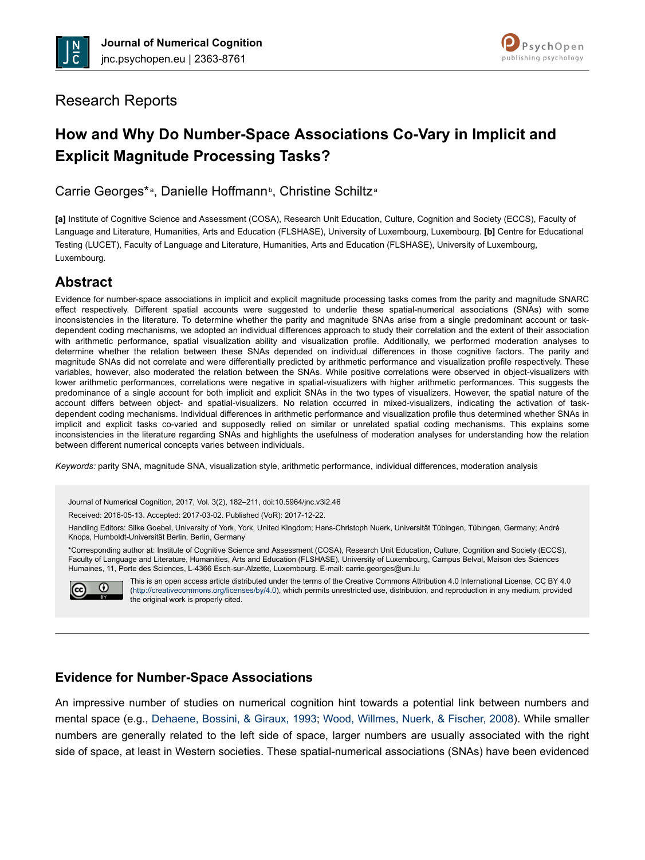



## Research Reports

# **How and Why Do Number-Space Associations Co-Vary in Implicit and Explicit Magnitude Processing Tasks?**

Carrie Georges\*<sup>a</sup>, Danielle Hoffmann<sup>b</sup>, Christine Schiltz<sup>a</sup>

**[a]** Institute of Cognitive Science and Assessment (COSA), Research Unit Education, Culture, Cognition and Society (ECCS), Faculty of Language and Literature, Humanities, Arts and Education (FLSHASE), University of Luxembourg, Luxembourg. **[b]** Centre for Educational Testing (LUCET), Faculty of Language and Literature, Humanities, Arts and Education (FLSHASE), University of Luxembourg, Luxembourg.

# **Abstract**

Evidence for number-space associations in implicit and explicit magnitude processing tasks comes from the parity and magnitude SNARC effect respectively. Different spatial accounts were suggested to underlie these spatial-numerical associations (SNAs) with some inconsistencies in the literature. To determine whether the parity and magnitude SNAs arise from a single predominant account or taskdependent coding mechanisms, we adopted an individual differences approach to study their correlation and the extent of their association with arithmetic performance, spatial visualization ability and visualization profile. Additionally, we performed moderation analyses to determine whether the relation between these SNAs depended on individual differences in those cognitive factors. The parity and magnitude SNAs did not correlate and were differentially predicted by arithmetic performance and visualization profile respectively. These variables, however, also moderated the relation between the SNAs. While positive correlations were observed in object-visualizers with lower arithmetic performances, correlations were negative in spatial-visualizers with higher arithmetic performances. This suggests the predominance of a single account for both implicit and explicit SNAs in the two types of visualizers. However, the spatial nature of the account differs between object- and spatial-visualizers. No relation occurred in mixed-visualizers, indicating the activation of taskdependent coding mechanisms. Individual differences in arithmetic performance and visualization profile thus determined whether SNAs in implicit and explicit tasks co-varied and supposedly relied on similar or unrelated spatial coding mechanisms. This explains some inconsistencies in the literature regarding SNAs and highlights the usefulness of moderation analyses for understanding how the relation between different numerical concepts varies between individuals.

*Keywords:* parity SNA, magnitude SNA, visualization style, arithmetic performance, individual differences, moderation analysis

Journal of Numerical Cognition, 2017, Vol. 3(2), 182–211, doi:10.5964/jnc.v3i2.46

Received: 2016-05-13. Accepted: 2017-03-02. Published (VoR): 2017-12-22.

Handling Editors: Silke Goebel, University of York, York, United Kingdom; Hans-Christoph Nuerk, Universität Tübingen, Tübingen, Germany; André Knops, Humboldt-Universität Berlin, Berlin, Germany

\*Corresponding author at: Institute of Cognitive Science and Assessment (COSA), Research Unit Education, Culture, Cognition and Society (ECCS), Faculty of Language and Literature, Humanities, Arts and Education (FLSHASE), University of Luxembourg, Campus Belval, Maison des Sciences Humaines, 11, Porte des Sciences, L-4366 Esch-sur-Alzette, Luxembourg. E-mail: carrie.georges@uni.lu



This is an open access article distributed under the terms of the Creative Commons Attribution 4.0 International License, CC BY 4.0 (<http://creativecommons.org/licenses/by/4.0>), which permits unrestricted use, distribution, and reproduction in any medium, provided the original work is properly cited.

### **Evidence for Number-Space Associations**

An impressive number of studies on numerical cognition hint towards a potential link between numbers and mental space (e.g., [Dehaene, Bossini, & Giraux, 1993;](#page-24-0) [Wood, Willmes, Nuerk, & Fischer, 2008](#page-28-0)). While smaller numbers are generally related to the left side of space, larger numbers are usually associated with the right side of space, at least in Western societies. These spatial-numerical associations (SNAs) have been evidenced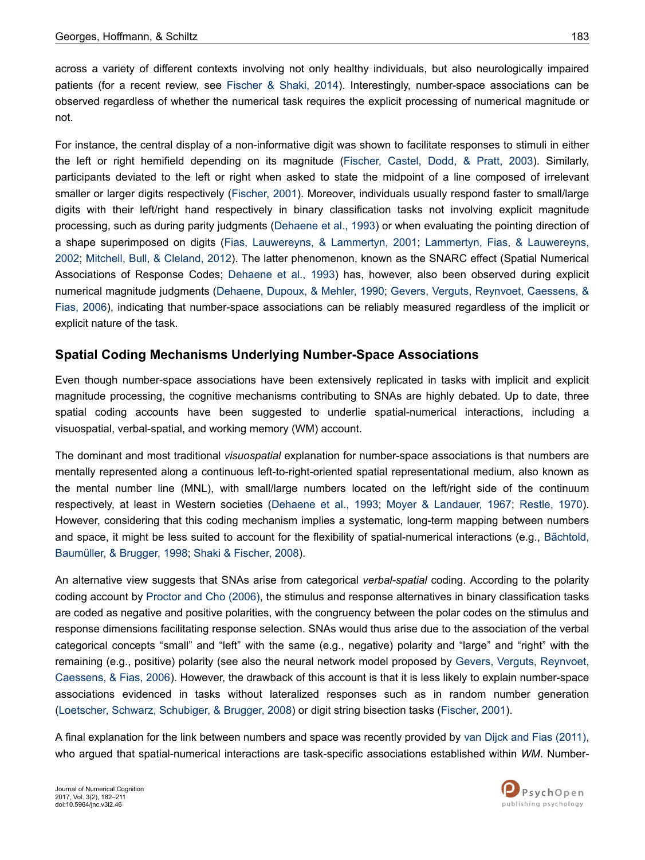across a variety of different contexts involving not only healthy individuals, but also neurologically impaired patients (for a recent review, see [Fischer & Shaki, 2014\)](#page-24-0). Interestingly, number-space associations can be observed regardless of whether the numerical task requires the explicit processing of numerical magnitude or not.

For instance, the central display of a non-informative digit was shown to facilitate responses to stimuli in either the left or right hemifield depending on its magnitude [\(Fischer, Castel, Dodd, & Pratt, 2003](#page-24-0)). Similarly, participants deviated to the left or right when asked to state the midpoint of a line composed of irrelevant smaller or larger digits respectively ([Fischer, 2001\)](#page-24-0). Moreover, individuals usually respond faster to small/large digits with their left/right hand respectively in binary classification tasks not involving explicit magnitude processing, such as during parity judgments [\(Dehaene et al., 1993\)](#page-24-0) or when evaluating the pointing direction of a shape superimposed on digits [\(Fias, Lauwereyns, & Lammertyn, 2001](#page-24-0); [Lammertyn, Fias, & Lauwereyns,](#page-26-0) [2002](#page-26-0); [Mitchell, Bull, & Cleland, 2012\)](#page-26-0). The latter phenomenon, known as the SNARC effect (Spatial Numerical Associations of Response Codes; [Dehaene et al., 1993](#page-24-0)) has, however, also been observed during explicit numerical magnitude judgments [\(Dehaene, Dupoux, & Mehler, 1990](#page-24-0); [Gevers, Verguts, Reynvoet, Caessens, &](#page-25-0) [Fias, 2006\)](#page-25-0), indicating that number-space associations can be reliably measured regardless of the implicit or explicit nature of the task.

### **Spatial Coding Mechanisms Underlying Number-Space Associations**

Even though number-space associations have been extensively replicated in tasks with implicit and explicit magnitude processing, the cognitive mechanisms contributing to SNAs are highly debated. Up to date, three spatial coding accounts have been suggested to underlie spatial-numerical interactions, including a visuospatial, verbal-spatial, and working memory (WM) account.

The dominant and most traditional *visuospatial* explanation for number-space associations is that numbers are mentally represented along a continuous left-to-right-oriented spatial representational medium, also known as the mental number line (MNL), with small/large numbers located on the left/right side of the continuum respectively, at least in Western societies ([Dehaene et al., 1993;](#page-24-0) [Moyer & Landauer, 1967;](#page-26-0) [Restle, 1970](#page-27-0)). However, considering that this coding mechanism implies a systematic, long-term mapping between numbers and space, it might be less suited to account for the flexibility of spatial-numerical interactions (e.g., [Bächtold,](#page-23-0) [Baumüller, & Brugger, 1998](#page-23-0); [Shaki & Fischer, 2008](#page-27-0)).

An alternative view suggests that SNAs arise from categorical *verbal-spatial* coding. According to the polarity coding account by [Proctor and Cho \(2006\)](#page-27-0), the stimulus and response alternatives in binary classification tasks are coded as negative and positive polarities, with the congruency between the polar codes on the stimulus and response dimensions facilitating response selection. SNAs would thus arise due to the association of the verbal categorical concepts "small" and "left" with the same (e.g., negative) polarity and "large" and "right" with the remaining (e.g., positive) polarity (see also the neural network model proposed by [Gevers, Verguts, Reynvoet,](#page-25-0) [Caessens, & Fias, 2006\)](#page-25-0). However, the drawback of this account is that it is less likely to explain number-space associations evidenced in tasks without lateralized responses such as in random number generation [\(Loetscher, Schwarz, Schubiger, & Brugger, 2008](#page-26-0)) or digit string bisection tasks [\(Fischer, 2001](#page-24-0)).

A final explanation for the link between numbers and space was recently provided by [van Dijck and Fias \(2011\)](#page-27-0), who argued that spatial-numerical interactions are task-specific associations established within *WM*. Number-

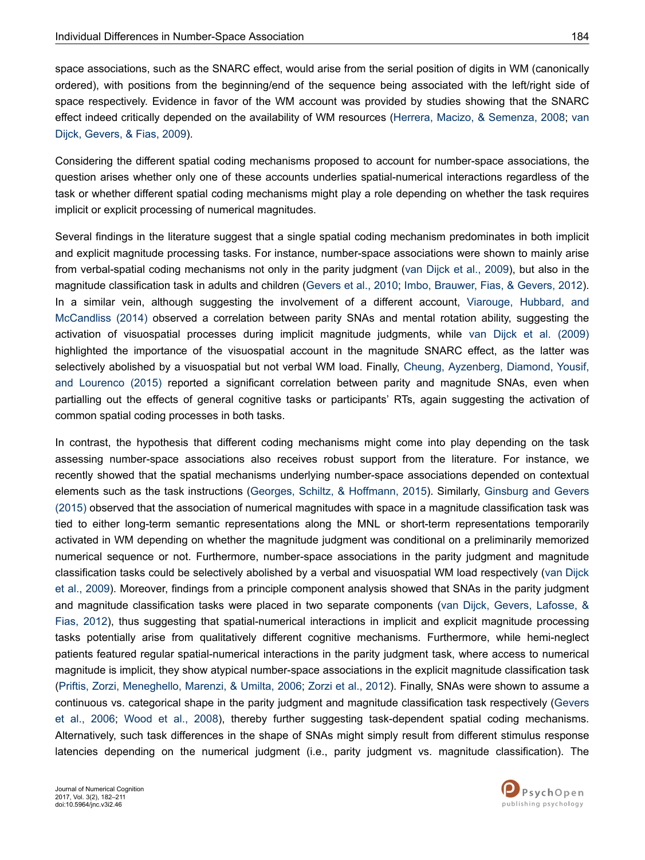space associations, such as the SNARC effect, would arise from the serial position of digits in WM (canonically ordered), with positions from the beginning/end of the sequence being associated with the left/right side of space respectively. Evidence in favor of the WM account was provided by studies showing that the SNARC effect indeed critically depended on the availability of WM resources [\(Herrera, Macizo, & Semenza, 2008;](#page-25-0) [van](#page-27-0) [Dijck, Gevers, & Fias, 2009](#page-27-0)).

Considering the different spatial coding mechanisms proposed to account for number-space associations, the question arises whether only one of these accounts underlies spatial-numerical interactions regardless of the task or whether different spatial coding mechanisms might play a role depending on whether the task requires implicit or explicit processing of numerical magnitudes.

Several findings in the literature suggest that a single spatial coding mechanism predominates in both implicit and explicit magnitude processing tasks. For instance, number-space associations were shown to mainly arise from verbal-spatial coding mechanisms not only in the parity judgment [\(van Dijck et al., 2009](#page-27-0)), but also in the magnitude classification task in adults and children ([Gevers et al., 2010; Imbo, Brauwer, Fias, & Gevers, 2012](#page-25-0)). In a similar vein, although suggesting the involvement of a different account, [Viarouge, Hubbard, and](#page-28-0) [McCandliss \(2014\)](#page-28-0) observed a correlation between parity SNAs and mental rotation ability, suggesting the activation of visuospatial processes during implicit magnitude judgments, while [van Dijck et al. \(2009\)](#page-27-0) highlighted the importance of the visuospatial account in the magnitude SNARC effect, as the latter was selectively abolished by a visuospatial but not verbal WM load. Finally, [Cheung, Ayzenberg, Diamond, Yousif,](#page-23-0) [and Lourenco \(2015\)](#page-23-0) reported a significant correlation between parity and magnitude SNAs, even when partialling out the effects of general cognitive tasks or participants' RTs, again suggesting the activation of common spatial coding processes in both tasks.

In contrast, the hypothesis that different coding mechanisms might come into play depending on the task assessing number-space associations also receives robust support from the literature. For instance, we recently showed that the spatial mechanisms underlying number-space associations depended on contextual elements such as the task instructions [\(Georges, Schiltz, & Hoffmann, 2015](#page-25-0)). Similarly, [Ginsburg and Gevers](#page-25-0) [\(2015\)](#page-25-0) observed that the association of numerical magnitudes with space in a magnitude classification task was tied to either long-term semantic representations along the MNL or short-term representations temporarily activated in WM depending on whether the magnitude judgment was conditional on a preliminarily memorized numerical sequence or not. Furthermore, number-space associations in the parity judgment and magnitude classification tasks could be selectively abolished by a verbal and visuospatial WM load respectively [\(van Dijck](#page-27-0) [et al., 2009](#page-27-0)). Moreover, findings from a principle component analysis showed that SNAs in the parity judgment and magnitude classification tasks were placed in two separate components [\(van Dijck, Gevers, Lafosse, &](#page-27-0) [Fias, 2012](#page-27-0)), thus suggesting that spatial-numerical interactions in implicit and explicit magnitude processing tasks potentially arise from qualitatively different cognitive mechanisms. Furthermore, while hemi-neglect patients featured regular spatial-numerical interactions in the parity judgment task, where access to numerical magnitude is implicit, they show atypical number-space associations in the explicit magnitude classification task [\(Priftis, Zorzi, Meneghello, Marenzi, & Umilta, 2006;](#page-27-0) [Zorzi et al., 2012](#page-28-0)). Finally, SNAs were shown to assume a continuous vs. categorical shape in the parity judgment and magnitude classification task respectively [\(Gevers](#page-25-0) [et al., 2006](#page-25-0); [Wood et al., 2008\)](#page-28-0), thereby further suggesting task-dependent spatial coding mechanisms. Alternatively, such task differences in the shape of SNAs might simply result from different stimulus response latencies depending on the numerical judgment (i.e., parity judgment vs. magnitude classification). The

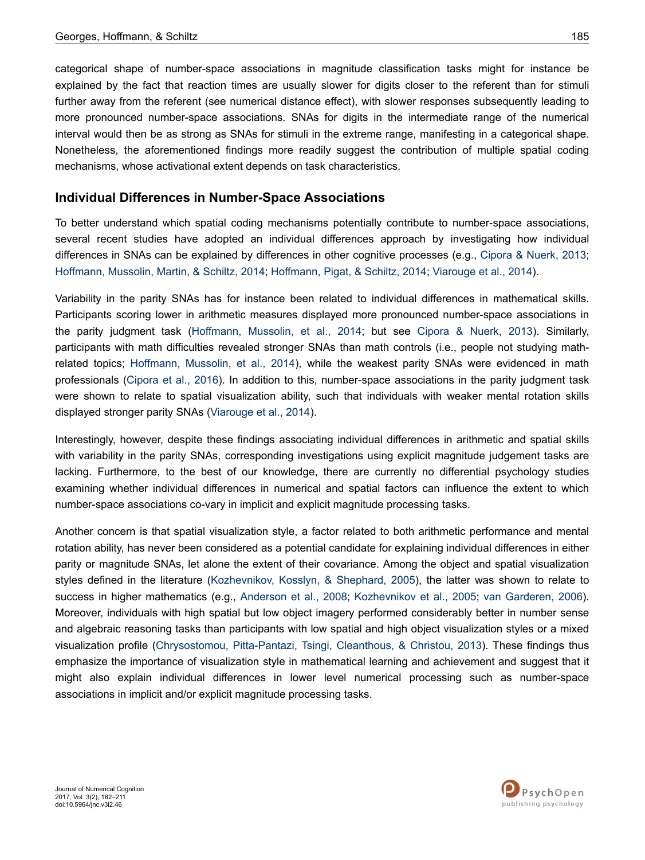categorical shape of number-space associations in magnitude classification tasks might for instance be explained by the fact that reaction times are usually slower for digits closer to the referent than for stimuli further away from the referent (see numerical distance effect), with slower responses subsequently leading to more pronounced number-space associations. SNAs for digits in the intermediate range of the numerical interval would then be as strong as SNAs for stimuli in the extreme range, manifesting in a categorical shape. Nonetheless, the aforementioned findings more readily suggest the contribution of multiple spatial coding mechanisms, whose activational extent depends on task characteristics.

### **Individual Differences in Number-Space Associations**

To better understand which spatial coding mechanisms potentially contribute to number-space associations, several recent studies have adopted an individual differences approach by investigating how individual differences in SNAs can be explained by differences in other cognitive processes (e.g., [Cipora & Nuerk, 2013](#page-24-0); [Hoffmann, Mussolin, Martin, & Schiltz, 2014; Hoffmann, Pigat, & Schiltz, 2014](#page-25-0); [Viarouge et al., 2014\)](#page-28-0).

Variability in the parity SNAs has for instance been related to individual differences in mathematical skills. Participants scoring lower in arithmetic measures displayed more pronounced number-space associations in the parity judgment task [\(Hoffmann, Mussolin, et al., 2014](#page-25-0); but see [Cipora & Nuerk, 2013](#page-24-0)). Similarly, participants with math difficulties revealed stronger SNAs than math controls (i.e., people not studying mathrelated topics; [Hoffmann, Mussolin, et al., 2014\)](#page-25-0), while the weakest parity SNAs were evidenced in math professionals [\(Cipora et al., 2016\)](#page-24-0). In addition to this, number-space associations in the parity judgment task were shown to relate to spatial visualization ability, such that individuals with weaker mental rotation skills displayed stronger parity SNAs [\(Viarouge et al., 2014\)](#page-28-0).

Interestingly, however, despite these findings associating individual differences in arithmetic and spatial skills with variability in the parity SNAs, corresponding investigations using explicit magnitude judgement tasks are lacking. Furthermore, to the best of our knowledge, there are currently no differential psychology studies examining whether individual differences in numerical and spatial factors can influence the extent to which number-space associations co-vary in implicit and explicit magnitude processing tasks.

Another concern is that spatial visualization style, a factor related to both arithmetic performance and mental rotation ability, has never been considered as a potential candidate for explaining individual differences in either parity or magnitude SNAs, let alone the extent of their covariance. Among the object and spatial visualization styles defined in the literature ([Kozhevnikov, Kosslyn, & Shephard, 2005\)](#page-26-0), the latter was shown to relate to success in higher mathematics (e.g., [Anderson et al., 2008;](#page-23-0) [Kozhevnikov et al., 2005](#page-26-0); [van Garderen, 2006](#page-28-0)). Moreover, individuals with high spatial but low object imagery performed considerably better in number sense and algebraic reasoning tasks than participants with low spatial and high object visualization styles or a mixed visualization profile ([Chrysostomou, Pitta-Pantazi, Tsingi, Cleanthous, & Christou, 2013](#page-24-0)). These findings thus emphasize the importance of visualization style in mathematical learning and achievement and suggest that it might also explain individual differences in lower level numerical processing such as number-space associations in implicit and/or explicit magnitude processing tasks.

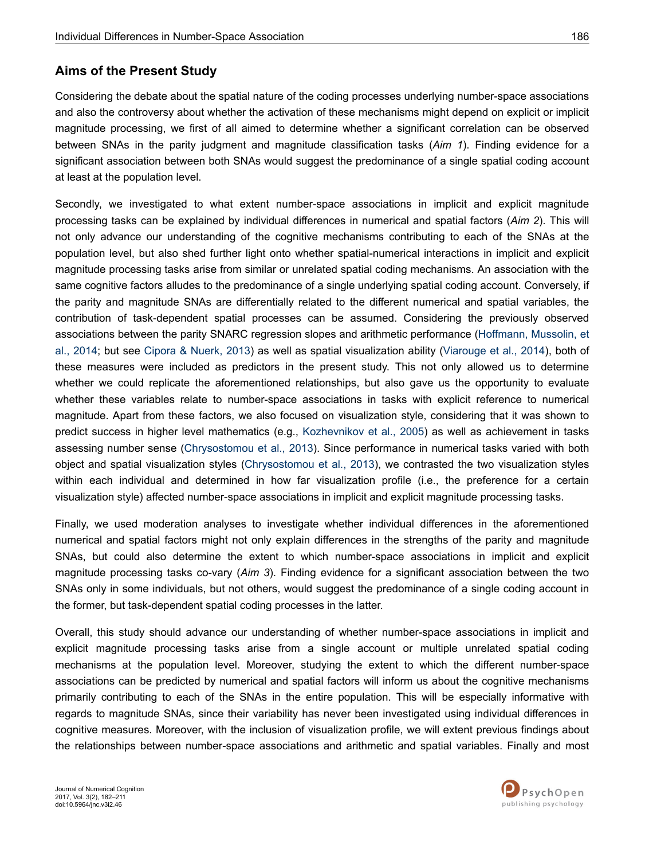### **Aims of the Present Study**

Considering the debate about the spatial nature of the coding processes underlying number-space associations and also the controversy about whether the activation of these mechanisms might depend on explicit or implicit magnitude processing, we first of all aimed to determine whether a significant correlation can be observed between SNAs in the parity judgment and magnitude classification tasks (*Aim 1*). Finding evidence for a significant association between both SNAs would suggest the predominance of a single spatial coding account at least at the population level.

Secondly, we investigated to what extent number-space associations in implicit and explicit magnitude processing tasks can be explained by individual differences in numerical and spatial factors (*Aim 2*). This will not only advance our understanding of the cognitive mechanisms contributing to each of the SNAs at the population level, but also shed further light onto whether spatial-numerical interactions in implicit and explicit magnitude processing tasks arise from similar or unrelated spatial coding mechanisms. An association with the same cognitive factors alludes to the predominance of a single underlying spatial coding account. Conversely, if the parity and magnitude SNAs are differentially related to the different numerical and spatial variables, the contribution of task-dependent spatial processes can be assumed. Considering the previously observed associations between the parity SNARC regression slopes and arithmetic performance ([Hoffmann, Mussolin, et](#page-25-0) [al., 2014](#page-25-0); but see [Cipora & Nuerk, 2013](#page-24-0)) as well as spatial visualization ability [\(Viarouge et al., 2014](#page-28-0)), both of these measures were included as predictors in the present study. This not only allowed us to determine whether we could replicate the aforementioned relationships, but also gave us the opportunity to evaluate whether these variables relate to number-space associations in tasks with explicit reference to numerical magnitude. Apart from these factors, we also focused on visualization style, considering that it was shown to predict success in higher level mathematics (e.g., [Kozhevnikov et al., 2005\)](#page-26-0) as well as achievement in tasks assessing number sense [\(Chrysostomou et al., 2013](#page-24-0)). Since performance in numerical tasks varied with both object and spatial visualization styles ([Chrysostomou et al., 2013\)](#page-24-0), we contrasted the two visualization styles within each individual and determined in how far visualization profile (i.e., the preference for a certain visualization style) affected number-space associations in implicit and explicit magnitude processing tasks.

Finally, we used moderation analyses to investigate whether individual differences in the aforementioned numerical and spatial factors might not only explain differences in the strengths of the parity and magnitude SNAs, but could also determine the extent to which number-space associations in implicit and explicit magnitude processing tasks co-vary (*Aim 3*). Finding evidence for a significant association between the two SNAs only in some individuals, but not others, would suggest the predominance of a single coding account in the former, but task-dependent spatial coding processes in the latter.

Overall, this study should advance our understanding of whether number-space associations in implicit and explicit magnitude processing tasks arise from a single account or multiple unrelated spatial coding mechanisms at the population level. Moreover, studying the extent to which the different number-space associations can be predicted by numerical and spatial factors will inform us about the cognitive mechanisms primarily contributing to each of the SNAs in the entire population. This will be especially informative with regards to magnitude SNAs, since their variability has never been investigated using individual differences in cognitive measures. Moreover, with the inclusion of visualization profile, we will extent previous findings about the relationships between number-space associations and arithmetic and spatial variables. Finally and most

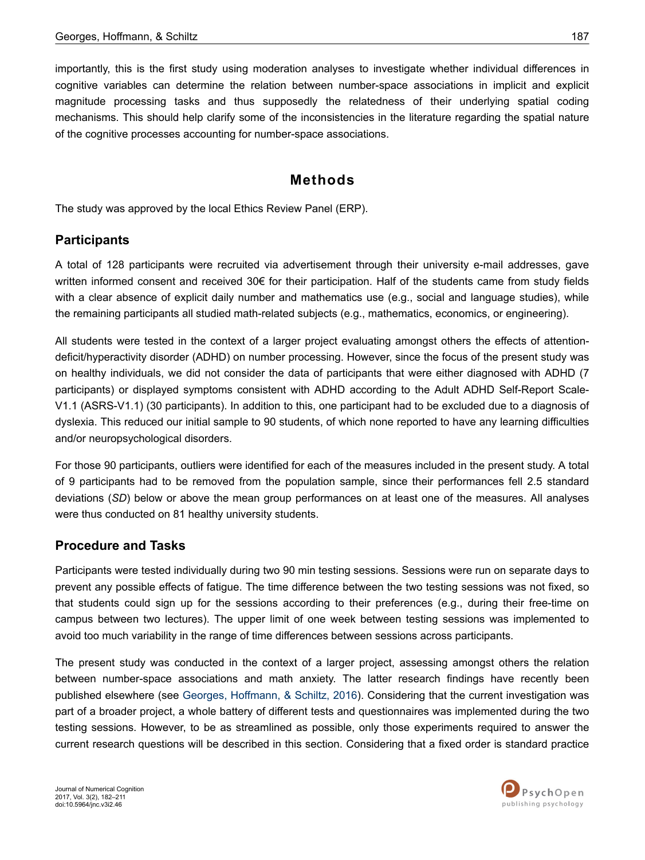importantly, this is the first study using moderation analyses to investigate whether individual differences in cognitive variables can determine the relation between number-space associations in implicit and explicit magnitude processing tasks and thus supposedly the relatedness of their underlying spatial coding mechanisms. This should help clarify some of the inconsistencies in the literature regarding the spatial nature of the cognitive processes accounting for number-space associations.

## **Methods**

The study was approved by the local Ethics Review Panel (ERP).

### **Participants**

A total of 128 participants were recruited via advertisement through their university e-mail addresses, gave written informed consent and received 30€ for their participation. Half of the students came from study fields with a clear absence of explicit daily number and mathematics use (e.g., social and language studies), while the remaining participants all studied math-related subjects (e.g., mathematics, economics, or engineering).

All students were tested in the context of a larger project evaluating amongst others the effects of attentiondeficit/hyperactivity disorder (ADHD) on number processing. However, since the focus of the present study was on healthy individuals, we did not consider the data of participants that were either diagnosed with ADHD (7 participants) or displayed symptoms consistent with ADHD according to the Adult ADHD Self-Report Scale-V1.1 (ASRS-V1.1) (30 participants). In addition to this, one participant had to be excluded due to a diagnosis of dyslexia. This reduced our initial sample to 90 students, of which none reported to have any learning difficulties and/or neuropsychological disorders.

For those 90 participants, outliers were identified for each of the measures included in the present study. A total of 9 participants had to be removed from the population sample, since their performances fell 2.5 standard deviations (*SD*) below or above the mean group performances on at least one of the measures. All analyses were thus conducted on 81 healthy university students.

# **Procedure and Tasks**

Participants were tested individually during two 90 min testing sessions. Sessions were run on separate days to prevent any possible effects of fatigue. The time difference between the two testing sessions was not fixed, so that students could sign up for the sessions according to their preferences (e.g., during their free-time on campus between two lectures). The upper limit of one week between testing sessions was implemented to avoid too much variability in the range of time differences between sessions across participants.

The present study was conducted in the context of a larger project, assessing amongst others the relation between number-space associations and math anxiety. The latter research findings have recently been published elsewhere (see [Georges, Hoffmann, & Schiltz, 2016](#page-25-0)). Considering that the current investigation was part of a broader project, a whole battery of different tests and questionnaires was implemented during the two testing sessions. However, to be as streamlined as possible, only those experiments required to answer the current research questions will be described in this section. Considering that a fixed order is standard practice

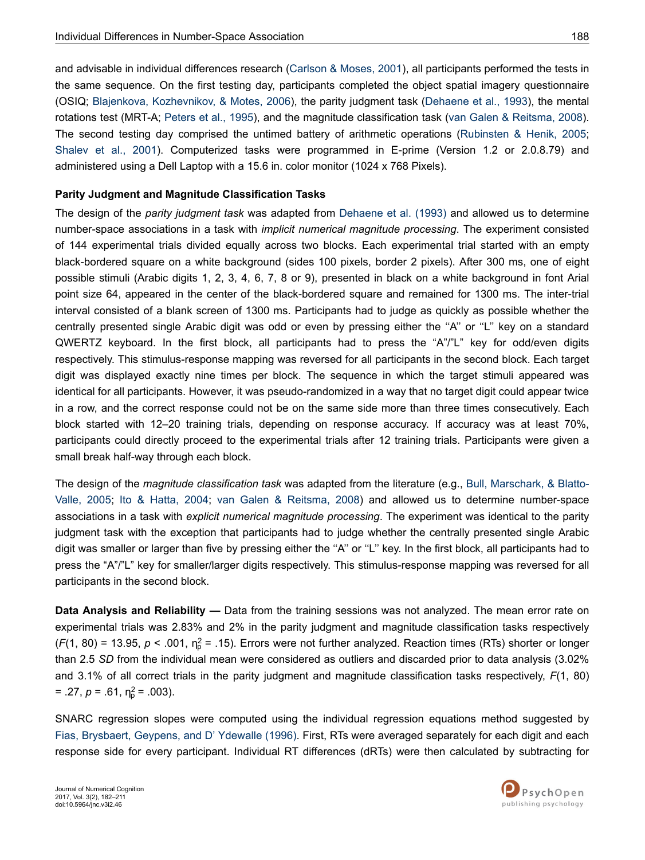and advisable in individual differences research [\(Carlson & Moses, 2001\)](#page-23-0), all participants performed the tests in the same sequence. On the first testing day, participants completed the object spatial imagery questionnaire (OSIQ; [Blajenkova, Kozhevnikov, & Motes, 2006](#page-23-0)), the parity judgment task ([Dehaene et al., 1993](#page-24-0)), the mental

rotations test (MRT-A; [Peters et al., 1995](#page-27-0)), and the magnitude classification task ([van Galen & Reitsma, 2008](#page-28-0)). The second testing day comprised the untimed battery of arithmetic operations [\(Rubinsten & Henik, 2005](#page-27-0); [Shalev et al., 2001\)](#page-27-0). Computerized tasks were programmed in E-prime (Version 1.2 or 2.0.8.79) and administered using a Dell Laptop with a 15.6 in. color monitor (1024 x 768 Pixels).

### **Parity Judgment and Magnitude Classification Tasks**

The design of the *parity judgment task* was adapted from [Dehaene et al. \(1993\)](#page-24-0) and allowed us to determine number-space associations in a task with *implicit numerical magnitude processing*. The experiment consisted of 144 experimental trials divided equally across two blocks. Each experimental trial started with an empty black-bordered square on a white background (sides 100 pixels, border 2 pixels). After 300 ms, one of eight possible stimuli (Arabic digits 1, 2, 3, 4, 6, 7, 8 or 9), presented in black on a white background in font Arial point size 64, appeared in the center of the black-bordered square and remained for 1300 ms. The inter-trial interval consisted of a blank screen of 1300 ms. Participants had to judge as quickly as possible whether the centrally presented single Arabic digit was odd or even by pressing either the ''A'' or ''L'' key on a standard QWERTZ keyboard. In the first block, all participants had to press the "A"/"L" key for odd/even digits respectively. This stimulus-response mapping was reversed for all participants in the second block. Each target digit was displayed exactly nine times per block. The sequence in which the target stimuli appeared was identical for all participants. However, it was pseudo-randomized in a way that no target digit could appear twice in a row, and the correct response could not be on the same side more than three times consecutively. Each block started with 12–20 training trials, depending on response accuracy. If accuracy was at least 70%, participants could directly proceed to the experimental trials after 12 training trials. Participants were given a small break half-way through each block.

The design of the *magnitude classification task* was adapted from the literature (e.g., [Bull, Marschark, & Blatto-](#page-23-0)[Valle, 2005;](#page-23-0) [Ito & Hatta, 2004;](#page-25-0) [van Galen & Reitsma, 2008](#page-28-0)) and allowed us to determine number-space associations in a task with *explicit numerical magnitude processing*. The experiment was identical to the parity judgment task with the exception that participants had to judge whether the centrally presented single Arabic digit was smaller or larger than five by pressing either the "A" or "L" key. In the first block, all participants had to press the "A"/"L" key for smaller/larger digits respectively. This stimulus-response mapping was reversed for all participants in the second block.

**Data Analysis and Reliability —** Data from the training sessions was not analyzed. The mean error rate on experimental trials was 2.83% and 2% in the parity judgment and magnitude classification tasks respectively  $(F(1, 80) = 13.95, p < .001, \eta_p^2 = .15)$ . Errors were not further analyzed. Reaction times (RTs) shorter or longer than 2.5 *SD* from the individual mean were considered as outliers and discarded prior to data analysis (3.02% and 3.1% of all correct trials in the parity judgment and magnitude classification tasks respectively, *F*(1, 80)  $= .27, p = .61, \eta_p^2 = .003$ ).

SNARC regression slopes were computed using the individual regression equations method suggested by [Fias, Brysbaert, Geypens, and D' Ydewalle \(1996\).](#page-24-0) First, RTs were averaged separately for each digit and each response side for every participant. Individual RT differences (dRTs) were then calculated by subtracting for

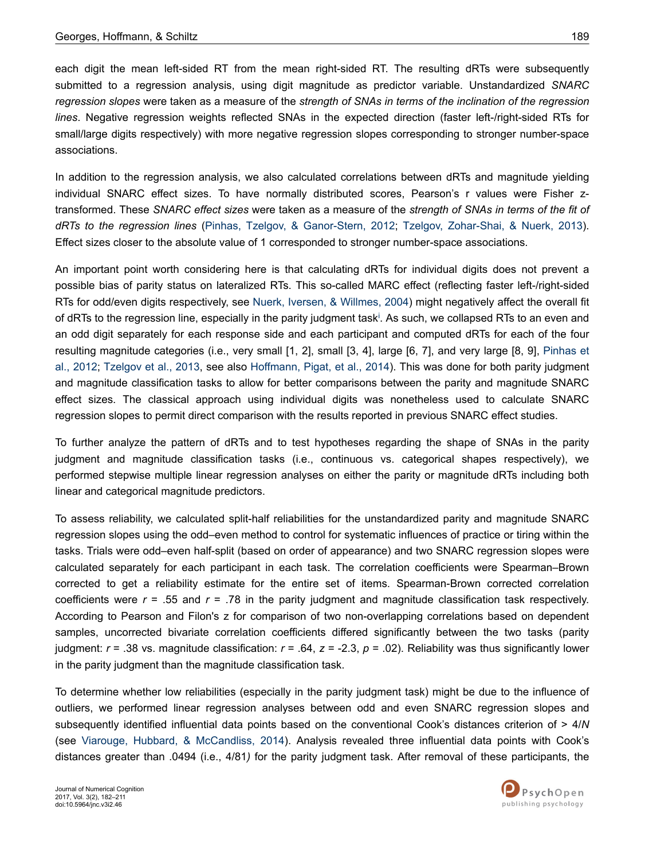each digit the mean left-sided RT from the mean right-sided RT. The resulting dRTs were subsequently submitted to a regression analysis, using digit magnitude as predictor variable. Unstandardized *SNARC regression slopes* were taken as a measure of the *strength of SNAs in terms of the inclination of the regression lines*. Negative regression weights reflected SNAs in the expected direction (faster left-/right-sided RTs for small/large digits respectively) with more negative regression slopes corresponding to stronger number-space associations.

In addition to the regression analysis, we also calculated correlations between dRTs and magnitude yielding individual SNARC effect sizes. To have normally distributed scores, Pearson's r values were Fisher ztransformed. These *SNARC effect sizes* were taken as a measure of the *strength of SNAs in terms of the fit of dRTs to the regression lines* [\(Pinhas, Tzelgov, & Ganor-Stern, 2012;](#page-27-0) [Tzelgov, Zohar-Shai, & Nuerk, 2013](#page-27-0)). Effect sizes closer to the absolute value of 1 corresponded to stronger number-space associations.

An important point worth considering here is that calculating dRTs for individual digits does not prevent a possible bias of parity status on lateralized RTs. This so-called MARC effect (reflecting faster left-/right-sided RTs for odd/even digits respectively, see [Nuerk, Iversen, & Willmes, 2004\)](#page-26-0) might negatively affect the overall fit of dRTs to the regress[i](#page-22-0)on line, especially in the parity judgment task<sup>i</sup>. As such, we collapsed RTs to an even and an odd digit separately for each response side and each participant and computed dRTs for each of the four resulting magnitude categories (i.e., very small [1, 2], small [3, 4], large [6, 7], and very large [8, 9], [Pinhas et](#page-27-0) [al., 2012;](#page-27-0) [Tzelgov et al., 2013,](#page-27-0) see also [Hoffmann, Pigat, et al., 2014\)](#page-25-0). This was done for both parity judgment and magnitude classification tasks to allow for better comparisons between the parity and magnitude SNARC effect sizes. The classical approach using individual digits was nonetheless used to calculate SNARC regression slopes to permit direct comparison with the results reported in previous SNARC effect studies.

To further analyze the pattern of dRTs and to test hypotheses regarding the shape of SNAs in the parity judgment and magnitude classification tasks (i.e., continuous vs. categorical shapes respectively), we performed stepwise multiple linear regression analyses on either the parity or magnitude dRTs including both linear and categorical magnitude predictors.

To assess reliability, we calculated split-half reliabilities for the unstandardized parity and magnitude SNARC regression slopes using the odd–even method to control for systematic influences of practice or tiring within the tasks. Trials were odd–even half-split (based on order of appearance) and two SNARC regression slopes were calculated separately for each participant in each task. The correlation coefficients were Spearman–Brown corrected to get a reliability estimate for the entire set of items. Spearman-Brown corrected correlation coefficients were *r* = .55 and *r* = .78 in the parity judgment and magnitude classification task respectively. According to Pearson and Filon's z for comparison of two non-overlapping correlations based on dependent samples, uncorrected bivariate correlation coefficients differed significantly between the two tasks (parity judgment: *r* = .38 vs. magnitude classification: *r* = .64, *z* = -2.3, *p* = .02). Reliability was thus significantly lower in the parity judgment than the magnitude classification task.

To determine whether low reliabilities (especially in the parity judgment task) might be due to the influence of outliers, we performed linear regression analyses between odd and even SNARC regression slopes and subsequently identified influential data points based on the conventional Cook's distances criterion of > 4/*N* (see [Viarouge, Hubbard, & McCandliss, 2014\)](#page-28-0). Analysis revealed three influential data points with Cook's distances greater than .0494 (i.e., 4/81*)* for the parity judgment task. After removal of these participants, the

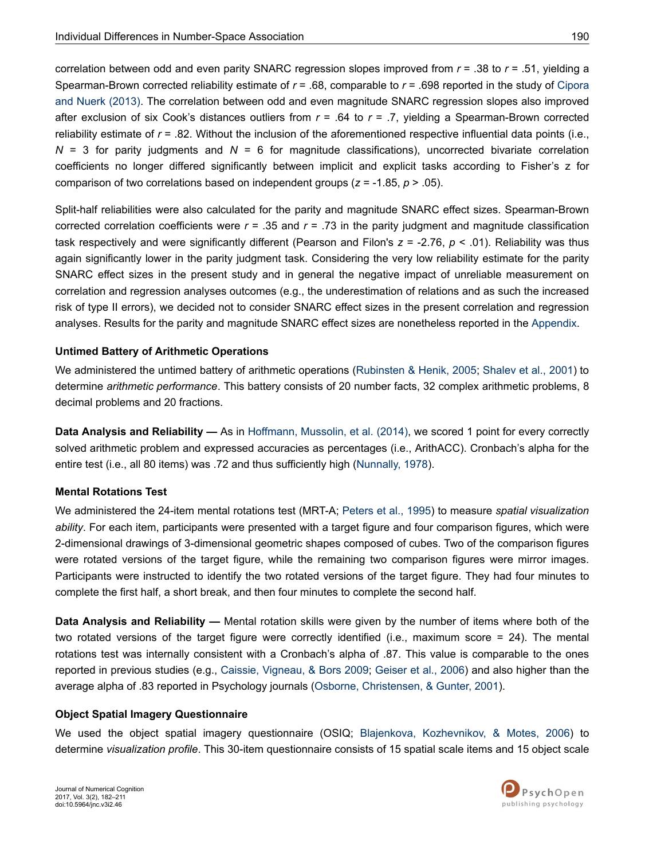correlation between odd and even parity SNARC regression slopes improved from *r* = .38 to *r* = .51, yielding a Spearman-Brown corrected reliability estimate of *r* = .68, comparable to *r* = .698 reported in the study of [Cipora](#page-24-0) [and Nuerk \(2013\).](#page-24-0) The correlation between odd and even magnitude SNARC regression slopes also improved after exclusion of six Cook's distances outliers from *r* = .64 to *r* = .7, yielding a Spearman-Brown corrected reliability estimate of *r* = .82. Without the inclusion of the aforementioned respective influential data points (i.e., *N* = 3 for parity judgments and *N* = 6 for magnitude classifications), uncorrected bivariate correlation coefficients no longer differed significantly between implicit and explicit tasks according to Fisher's z for comparison of two correlations based on independent groups (*z* = -1.85, *p* > .05).

Split-half reliabilities were also calculated for the parity and magnitude SNARC effect sizes. Spearman-Brown corrected correlation coefficients were *r* = .35 and *r* = .73 in the parity judgment and magnitude classification task respectively and were significantly different (Pearson and Filon's *z* = -2.76, *p* < .01). Reliability was thus again significantly lower in the parity judgment task. Considering the very low reliability estimate for the parity SNARC effect sizes in the present study and in general the negative impact of unreliable measurement on correlation and regression analyses outcomes (e.g., the underestimation of relations and as such the increased risk of type II errors), we decided not to consider SNARC effect sizes in the present correlation and regression analyses. Results for the parity and magnitude SNARC effect sizes are nonetheless reported in the [Appendix.](#page-28-0)

### **Untimed Battery of Arithmetic Operations**

We administered the untimed battery of arithmetic operations ([Rubinsten & Henik, 2005](#page-27-0); [Shalev et al., 2001\)](#page-27-0) to determine *arithmetic performance*. This battery consists of 20 number facts, 32 complex arithmetic problems, 8 decimal problems and 20 fractions.

**Data Analysis and Reliability —** As in [Hoffmann, Mussolin, et al. \(2014\),](#page-25-0) we scored 1 point for every correctly solved arithmetic problem and expressed accuracies as percentages (i.e., ArithACC). Cronbach's alpha for the entire test (i.e., all 80 items) was .72 and thus sufficiently high [\(Nunnally, 1978](#page-26-0)).

### **Mental Rotations Test**

We administered the 24-item mental rotations test (MRT-A; [Peters et al., 1995](#page-27-0)) to measure *spatial visualization ability*. For each item, participants were presented with a target figure and four comparison figures, which were 2-dimensional drawings of 3-dimensional geometric shapes composed of cubes. Two of the comparison figures were rotated versions of the target figure, while the remaining two comparison figures were mirror images. Participants were instructed to identify the two rotated versions of the target figure. They had four minutes to complete the first half, a short break, and then four minutes to complete the second half.

**Data Analysis and Reliability —** Mental rotation skills were given by the number of items where both of the two rotated versions of the target figure were correctly identified (i.e., maximum score = 24). The mental rotations test was internally consistent with a Cronbach's alpha of .87. This value is comparable to the ones reported in previous studies (e.g., [Caissie, Vigneau, & Bors 2009;](#page-23-0) [Geiser et al., 2006](#page-24-0)) and also higher than the average alpha of .83 reported in Psychology journals ([Osborne, Christensen, & Gunter, 2001\)](#page-26-0).

### **Object Spatial Imagery Questionnaire**

We used the object spatial imagery questionnaire (OSIQ; [Blajenkova, Kozhevnikov, & Motes, 2006](#page-23-0)) to determine *visualization profile*. This 30-item questionnaire consists of 15 spatial scale items and 15 object scale

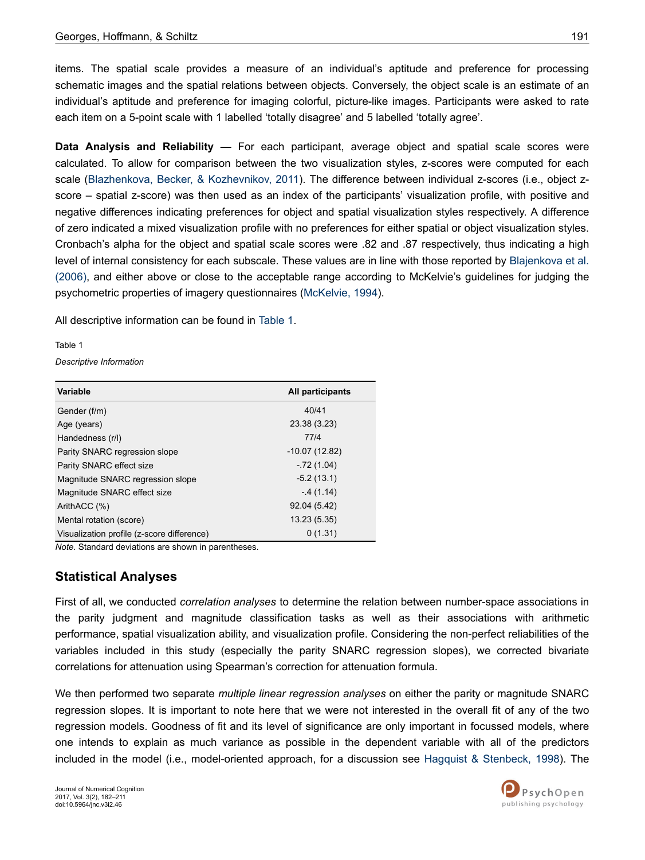items. The spatial scale provides a measure of an individual's aptitude and preference for processing schematic images and the spatial relations between objects. Conversely, the object scale is an estimate of an individual's aptitude and preference for imaging colorful, picture-like images. Participants were asked to rate each item on a 5-point scale with 1 labelled 'totally disagree' and 5 labelled 'totally agree'.

**Data Analysis and Reliability —** For each participant, average object and spatial scale scores were calculated. To allow for comparison between the two visualization styles, z-scores were computed for each scale [\(Blazhenkova, Becker, & Kozhevnikov, 2011](#page-23-0)). The difference between individual z-scores (i.e., object zscore – spatial z-score) was then used as an index of the participants' visualization profile, with positive and negative differences indicating preferences for object and spatial visualization styles respectively. A difference of zero indicated a mixed visualization profile with no preferences for either spatial or object visualization styles. Cronbach's alpha for the object and spatial scale scores were .82 and .87 respectively, thus indicating a high level of internal consistency for each subscale. These values are in line with those reported by [Blajenkova et al.](#page-23-0) [\(2006\),](#page-23-0) and either above or close to the acceptable range according to McKelvie's guidelines for judging the psychometric properties of imagery questionnaires ([McKelvie, 1994\)](#page-26-0).

All descriptive information can be found in Table 1.

Table 1

*Descriptive Information*

| Variable                                   | All participants |
|--------------------------------------------|------------------|
| Gender (f/m)                               | 40/41            |
| Age (years)                                | 23.38 (3.23)     |
| Handedness (r/l)                           | 77/4             |
| Parity SNARC regression slope              | $-10.07(12.82)$  |
| Parity SNARC effect size                   | $-72(1.04)$      |
| Magnitude SNARC regression slope           | $-5.2(13.1)$     |
| Magnitude SNARC effect size                | $-4(1.14)$       |
| ArithACC (%)                               | 92.04 (5.42)     |
| Mental rotation (score)                    | 13.23 (5.35)     |
| Visualization profile (z-score difference) | 0(1.31)          |

*Note.* Standard deviations are shown in parentheses.

# **Statistical Analyses**

First of all, we conducted *correlation analyses* to determine the relation between number-space associations in the parity judgment and magnitude classification tasks as well as their associations with arithmetic performance, spatial visualization ability, and visualization profile. Considering the non-perfect reliabilities of the variables included in this study (especially the parity SNARC regression slopes), we corrected bivariate correlations for attenuation using Spearman's correction for attenuation formula.

We then performed two separate *multiple linear regression analyses* on either the parity or magnitude SNARC regression slopes. It is important to note here that we were not interested in the overall fit of any of the two regression models. Goodness of fit and its level of significance are only important in focussed models, where one intends to explain as much variance as possible in the dependent variable with all of the predictors included in the model (i.e., model-oriented approach, for a discussion see [Hagquist & Stenbeck, 1998\)](#page-25-0). The

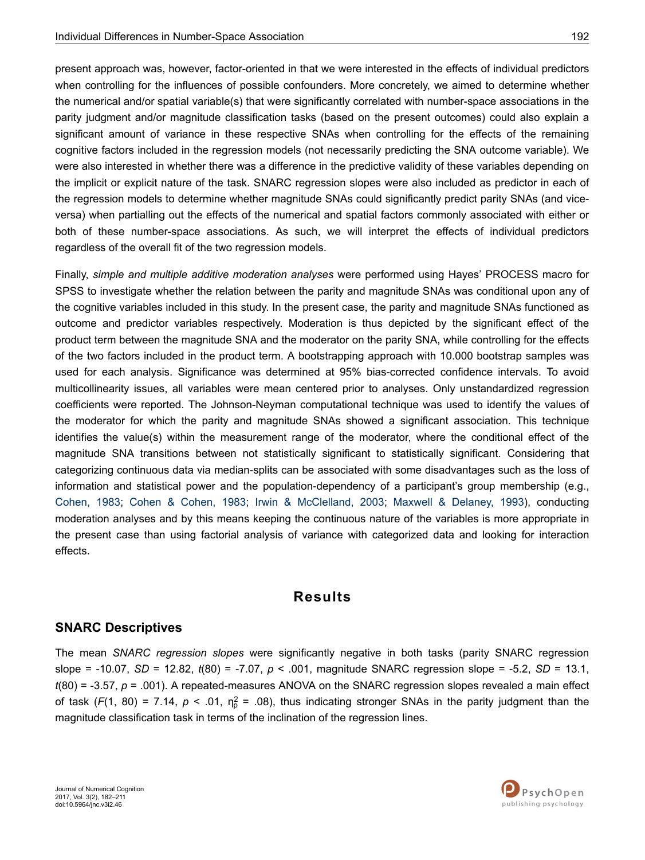present approach was, however, factor-oriented in that we were interested in the effects of individual predictors when controlling for the influences of possible confounders. More concretely, we aimed to determine whether the numerical and/or spatial variable(s) that were significantly correlated with number-space associations in the parity judgment and/or magnitude classification tasks (based on the present outcomes) could also explain a significant amount of variance in these respective SNAs when controlling for the effects of the remaining cognitive factors included in the regression models (not necessarily predicting the SNA outcome variable). We were also interested in whether there was a difference in the predictive validity of these variables depending on the implicit or explicit nature of the task. SNARC regression slopes were also included as predictor in each of the regression models to determine whether magnitude SNAs could significantly predict parity SNAs (and viceversa) when partialling out the effects of the numerical and spatial factors commonly associated with either or both of these number-space associations. As such, we will interpret the effects of individual predictors regardless of the overall fit of the two regression models.

Finally, *simple and multiple additive moderation analyses* were performed using Hayes' PROCESS macro for SPSS to investigate whether the relation between the parity and magnitude SNAs was conditional upon any of the cognitive variables included in this study. In the present case, the parity and magnitude SNAs functioned as outcome and predictor variables respectively. Moderation is thus depicted by the significant effect of the product term between the magnitude SNA and the moderator on the parity SNA, while controlling for the effects of the two factors included in the product term. A bootstrapping approach with 10.000 bootstrap samples was used for each analysis. Significance was determined at 95% bias-corrected confidence intervals. To avoid multicollinearity issues, all variables were mean centered prior to analyses. Only unstandardized regression coefficients were reported. The Johnson-Neyman computational technique was used to identify the values of the moderator for which the parity and magnitude SNAs showed a significant association. This technique identifies the value(s) within the measurement range of the moderator, where the conditional effect of the magnitude SNA transitions between not statistically significant to statistically significant. Considering that categorizing continuous data via median-splits can be associated with some disadvantages such as the loss of information and statistical power and the population-dependency of a participant's group membership (e.g., [Cohen, 1983](#page-24-0); [Cohen & Cohen, 1983](#page-24-0); [Irwin & McClelland, 2003;](#page-25-0) [Maxwell & Delaney, 1993](#page-26-0)), conducting moderation analyses and by this means keeping the continuous nature of the variables is more appropriate in the present case than using factorial analysis of variance with categorized data and looking for interaction effects.

# **Results**

### **SNARC Descriptives**

The mean *SNARC regression slopes* were significantly negative in both tasks (parity SNARC regression slope = -10.07, *SD* = 12.82, *t*(80) = -7.07, *p* < .001, magnitude SNARC regression slope = -5.2, *SD* = 13.1, *t*(80) = -3.57, *p* = .001). A repeated-measures ANOVA on the SNARC regression slopes revealed a main effect of task ( $F(1, 80) = 7.14$ ,  $p < .01$ ,  $\eta_p^2 = .08$ ), thus indicating stronger SNAs in the parity judgment than the magnitude classification task in terms of the inclination of the regression lines.

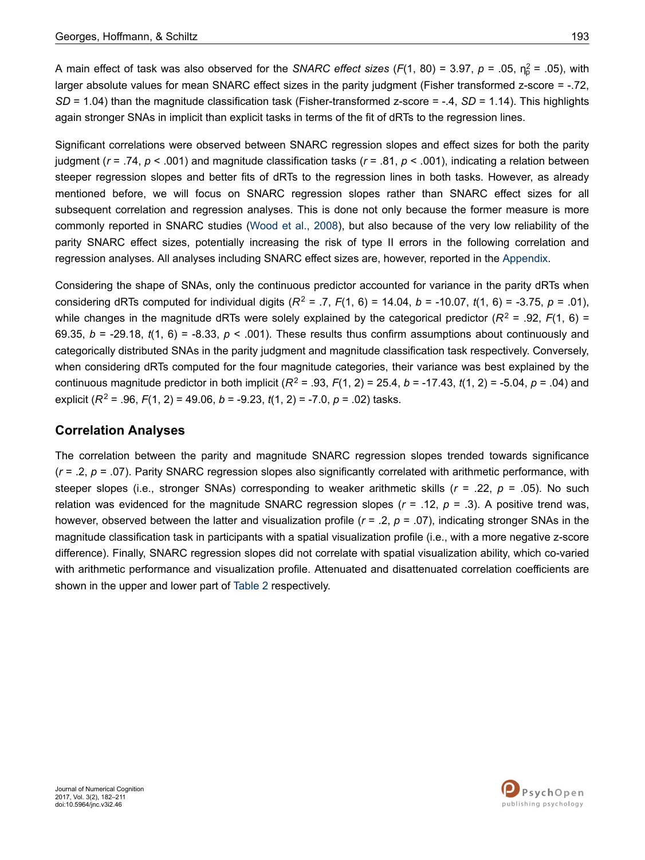A main effect of task was also observed for the *SNARC effect sizes* (F(1, 80) = 3.97, *p* = .05,  $\eta_p^2$  = .05), with larger absolute values for mean SNARC effect sizes in the parity judgment (Fisher transformed z-score = -.72, *SD* = 1.04) than the magnitude classification task (Fisher-transformed z-score = -.4, *SD* = 1.14). This highlights again stronger SNAs in implicit than explicit tasks in terms of the fit of dRTs to the regression lines.

Significant correlations were observed between SNARC regression slopes and effect sizes for both the parity judgment (*r* = .74, *p* < .001) and magnitude classification tasks (*r* = .81, *p* < .001), indicating a relation between steeper regression slopes and better fits of dRTs to the regression lines in both tasks. However, as already mentioned before, we will focus on SNARC regression slopes rather than SNARC effect sizes for all subsequent correlation and regression analyses. This is done not only because the former measure is more commonly reported in SNARC studies ([Wood et al., 2008](#page-28-0)), but also because of the very low reliability of the parity SNARC effect sizes, potentially increasing the risk of type II errors in the following correlation and regression analyses. All analyses including SNARC effect sizes are, however, reported in the [Appendix](#page-28-0).

Considering the shape of SNAs, only the continuous predictor accounted for variance in the parity dRTs when considering dRTs computed for individual digits  $(R^2 = .7, F(1, 6) = 14.04, b = -10.07, t(1, 6) = -3.75, p = .01$ ), while changes in the magnitude dRTs were solely explained by the categorical predictor  $(R^2 = .92, F(1, 6) =$ 69.35,  $b = -29.18$ ,  $t(1, 6) = -8.33$ ,  $p < .001$ ). These results thus confirm assumptions about continuously and categorically distributed SNAs in the parity judgment and magnitude classification task respectively. Conversely, when considering dRTs computed for the four magnitude categories, their variance was best explained by the continuous magnitude predictor in both implicit (*R*<sup>2</sup> = .93, *F*(1, 2) = 25.4, *b* = -17.43, *t*(1, 2) = -5.04, *p* = .04) and explicit (*R*<sup>2</sup> = .96, *F*(1, 2) = 49.06, *b* = -9.23, *t*(1, 2) = -7.0, *p* = .02) tasks.

### **Correlation Analyses**

The correlation between the parity and magnitude SNARC regression slopes trended towards significance (*r* = .2, *p* = .07). Parity SNARC regression slopes also significantly correlated with arithmetic performance, with steeper slopes (i.e., stronger SNAs) corresponding to weaker arithmetic skills (*r* = .22, *p* = .05). No such relation was evidenced for the magnitude SNARC regression slopes  $(r = .12, p = .3)$ . A positive trend was, however, observed between the latter and visualization profile ( $r = .2$ ,  $p = .07$ ), indicating stronger SNAs in the magnitude classification task in participants with a spatial visualization profile (i.e., with a more negative z-score difference). Finally, SNARC regression slopes did not correlate with spatial visualization ability, which co-varied with arithmetic performance and visualization profile. Attenuated and disattenuated correlation coefficients are shown in the upper and lower part of [Table 2](#page-12-0) respectively.



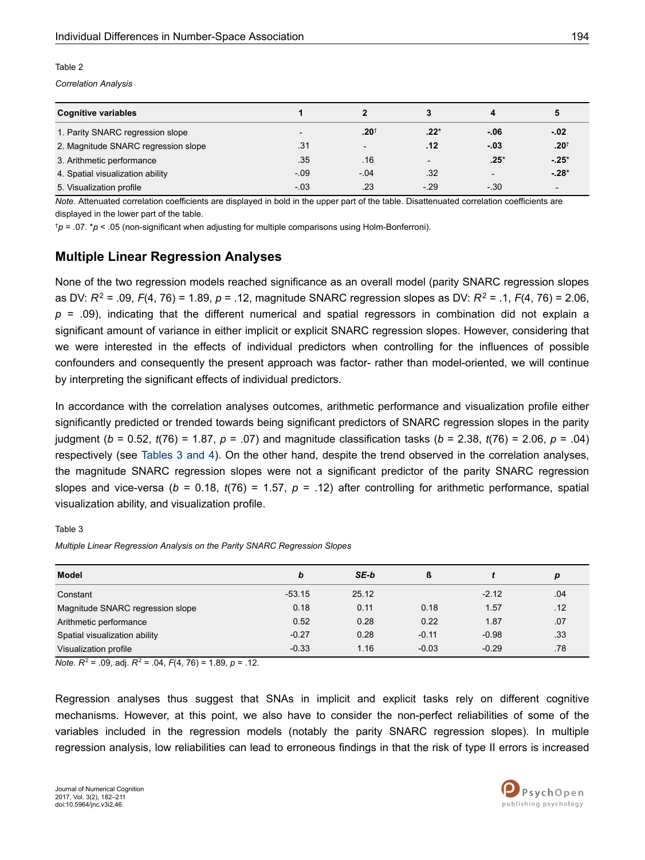#### <span id="page-12-0"></span>Table 2

*Correlation Analysis*

| <b>Cognitive variables</b>          |                          |                          |                          | д                        | 5                |
|-------------------------------------|--------------------------|--------------------------|--------------------------|--------------------------|------------------|
| 1. Parity SNARC regression slope    | $\overline{\phantom{0}}$ | $.20^{+}$                | $.22*$                   | $-06$                    | $-02$            |
| 2. Magnitude SNARC regression slope | .31                      | $\overline{\phantom{0}}$ | .12                      | $-03$                    | .20 <sup>†</sup> |
| 3. Arithmetic performance           | .35                      | .16                      | $\overline{\phantom{0}}$ | $.25*$                   | $-25*$           |
| 4. Spatial visualization ability    | $-.09$                   | $-04$                    | .32                      | $\overline{\phantom{0}}$ | $-28*$           |
| 5. Visualization profile            | $-0.3$                   | .23                      | $-29$                    | $-.30$                   |                  |

*Note*. Attenuated correlation coefficients are displayed in bold in the upper part of the table. Disattenuated correlation coefficients are displayed in the lower part of the table.

†*p* = .07. \**p* < .05 (non-significant when adjusting for multiple comparisons using Holm-Bonferroni).

### **Multiple Linear Regression Analyses**

None of the two regression models reached significance as an overall model (parity SNARC regression slopes as DV: *R*<sup>2</sup> = .09, *F*(4, 76) = 1.89, *p* = .12, magnitude SNARC regression slopes as DV: *R*<sup>2</sup> = .1, *F*(4, 76) = 2.06, *p* = .09), indicating that the different numerical and spatial regressors in combination did not explain a significant amount of variance in either implicit or explicit SNARC regression slopes. However, considering that we were interested in the effects of individual predictors when controlling for the influences of possible confounders and consequently the present approach was factor- rather than model-oriented, we will continue by interpreting the significant effects of individual predictors.

In accordance with the correlation analyses outcomes, arithmetic performance and visualization profile either significantly predicted or trended towards being significant predictors of SNARC regression slopes in the parity judgment (*b* = 0.52, *t*(76) = 1.87, *p* = .07) and magnitude classification tasks (*b* = 2.38, *t*(76) = 2.06, *p* = .04) respectively (see Tables 3 and 4). On the other hand, despite the trend observed in the correlation analyses, the magnitude SNARC regression slopes were not a significant predictor of the parity SNARC regression slopes and vice-versa (*b* = 0.18, *t*(76) = 1.57, *p* = .12) after controlling for arithmetic performance, spatial visualization ability, and visualization profile.

Table 3

*Multiple Linear Regression Analysis on the Parity SNARC Regression Slopes*

| Model                            | b        | SE-b  | ß       |         | p   |
|----------------------------------|----------|-------|---------|---------|-----|
| Constant                         | $-53.15$ | 25.12 |         | $-2.12$ | .04 |
| Magnitude SNARC regression slope | 0.18     | 0.11  | 0.18    | 1.57    | .12 |
| Arithmetic performance           | 0.52     | 0.28  | 0.22    | 1.87    | .07 |
| Spatial visualization ability    | $-0.27$  | 0.28  | $-0.11$ | $-0.98$ | .33 |
| Visualization profile            | $-0.33$  | 1.16  | $-0.03$ | $-0.29$ | .78 |

*Note. R*<sup>2</sup> = .09, adj. *R*<sup>2</sup> = .04, *F*(4, 76) = 1.89, *p* = .12.

Regression analyses thus suggest that SNAs in implicit and explicit tasks rely on different cognitive mechanisms. However, at this point, we also have to consider the non-perfect reliabilities of some of the variables included in the regression models (notably the parity SNARC regression slopes). In multiple regression analysis, low reliabilities can lead to erroneous findings in that the risk of type II errors is increased

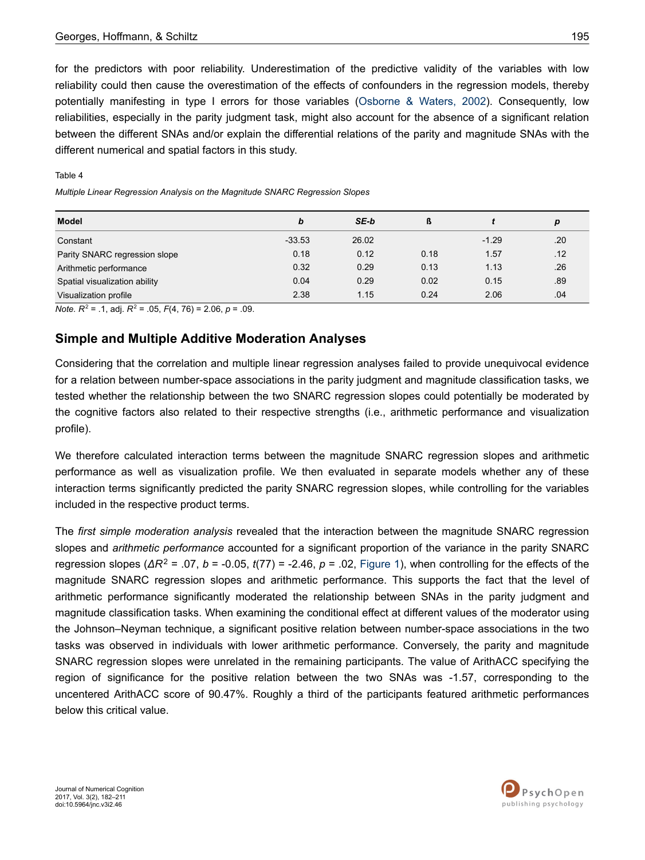for the predictors with poor reliability. Underestimation of the predictive validity of the variables with low reliability could then cause the overestimation of the effects of confounders in the regression models, thereby potentially manifesting in type I errors for those variables [\(Osborne & Waters, 2002](#page-27-0)). Consequently, low reliabilities, especially in the parity judgment task, might also account for the absence of a significant relation between the different SNAs and/or explain the differential relations of the parity and magnitude SNAs with the different numerical and spatial factors in this study.

| Model                         | b        | SE-b  | ß    |         | р   |
|-------------------------------|----------|-------|------|---------|-----|
| Constant                      | $-33.53$ | 26.02 |      | $-1.29$ | .20 |
| Parity SNARC regression slope | 0.18     | 0.12  | 0.18 | 1.57    | .12 |
| Arithmetic performance        | 0.32     | 0.29  | 0.13 | 1.13    | .26 |
| Spatial visualization ability | 0.04     | 0.29  | 0.02 | 0.15    | .89 |
| Visualization profile         | 2.38     | 1.15  | 0.24 | 2.06    | .04 |

#### Table 4

*Multiple Linear Regression Analysis on the Magnitude SNARC Regression Slopes*

*Note. R*<sup>2</sup> = .1, adj. *R*<sup>2</sup> = .05, *F*(4, 76) = 2.06, *p* = .09.

### **Simple and Multiple Additive Moderation Analyses**

Considering that the correlation and multiple linear regression analyses failed to provide unequivocal evidence for a relation between number-space associations in the parity judgment and magnitude classification tasks, we tested whether the relationship between the two SNARC regression slopes could potentially be moderated by the cognitive factors also related to their respective strengths (i.e., arithmetic performance and visualization profile).

We therefore calculated interaction terms between the magnitude SNARC regression slopes and arithmetic performance as well as visualization profile. We then evaluated in separate models whether any of these interaction terms significantly predicted the parity SNARC regression slopes, while controlling for the variables included in the respective product terms.

The *first simple moderation analysis* revealed that the interaction between the magnitude SNARC regression slopes and *arithmetic performance* accounted for a significant proportion of the variance in the parity SNARC regression slopes (*ΔR*<sup>2</sup> = .07, *b* = -0.05, *t*(77) = -2.46, *p* = .02, [Figure 1\)](#page-14-0), when controlling for the effects of the magnitude SNARC regression slopes and arithmetic performance. This supports the fact that the level of arithmetic performance significantly moderated the relationship between SNAs in the parity judgment and magnitude classification tasks. When examining the conditional effect at different values of the moderator using the Johnson–Neyman technique, a significant positive relation between number-space associations in the two tasks was observed in individuals with lower arithmetic performance. Conversely, the parity and magnitude SNARC regression slopes were unrelated in the remaining participants. The value of ArithACC specifying the region of significance for the positive relation between the two SNAs was -1.57, corresponding to the uncentered ArithACC score of 90.47%. Roughly a third of the participants featured arithmetic performances below this critical value.

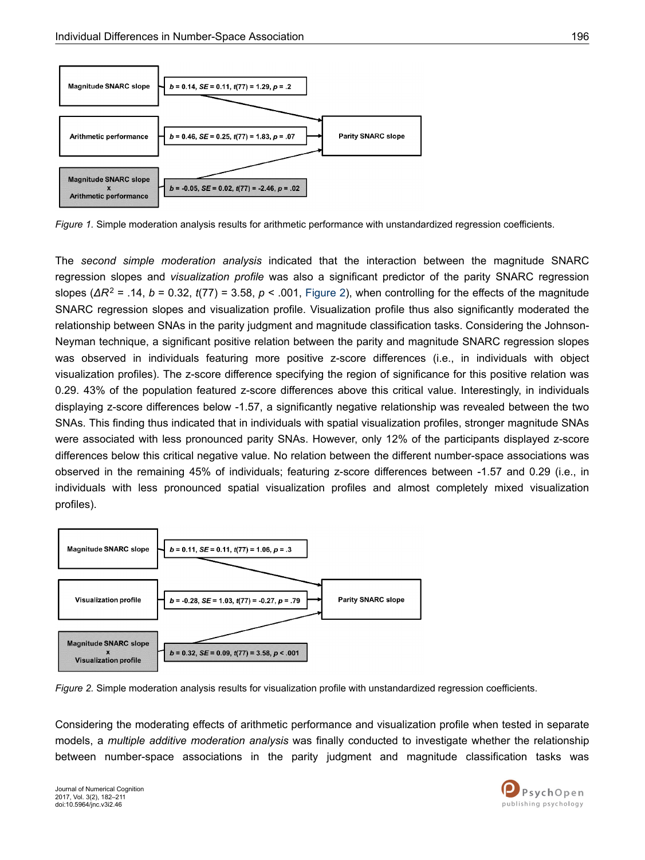<span id="page-14-0"></span>

*Figure 1.* Simple moderation analysis results for arithmetic performance with unstandardized regression coefficients.

The *second simple moderation analysis* indicated that the interaction between the magnitude SNARC regression slopes and *visualization profile* was also a significant predictor of the parity SNARC regression slopes (*ΔR*<sup>2</sup> = .14, *b* = 0.32, *t*(77) = 3.58, *p* < .001, Figure 2), when controlling for the effects of the magnitude SNARC regression slopes and visualization profile. Visualization profile thus also significantly moderated the relationship between SNAs in the parity judgment and magnitude classification tasks. Considering the Johnson-Neyman technique, a significant positive relation between the parity and magnitude SNARC regression slopes was observed in individuals featuring more positive z-score differences (i.e., in individuals with object visualization profiles). The z-score difference specifying the region of significance for this positive relation was 0.29. 43% of the population featured z-score differences above this critical value. Interestingly, in individuals displaying z-score differences below -1.57, a significantly negative relationship was revealed between the two SNAs. This finding thus indicated that in individuals with spatial visualization profiles, stronger magnitude SNAs were associated with less pronounced parity SNAs. However, only 12% of the participants displayed z-score differences below this critical negative value. No relation between the different number-space associations was observed in the remaining 45% of individuals; featuring z-score differences between -1.57 and 0.29 (i.e., in individuals with less pronounced spatial visualization profiles and almost completely mixed visualization profiles).



*Figure 2.* Simple moderation analysis results for visualization profile with unstandardized regression coefficients.

Considering the moderating effects of arithmetic performance and visualization profile when tested in separate models, a *multiple additive moderation analysis* was finally conducted to investigate whether the relationship between number-space associations in the parity judgment and magnitude classification tasks was

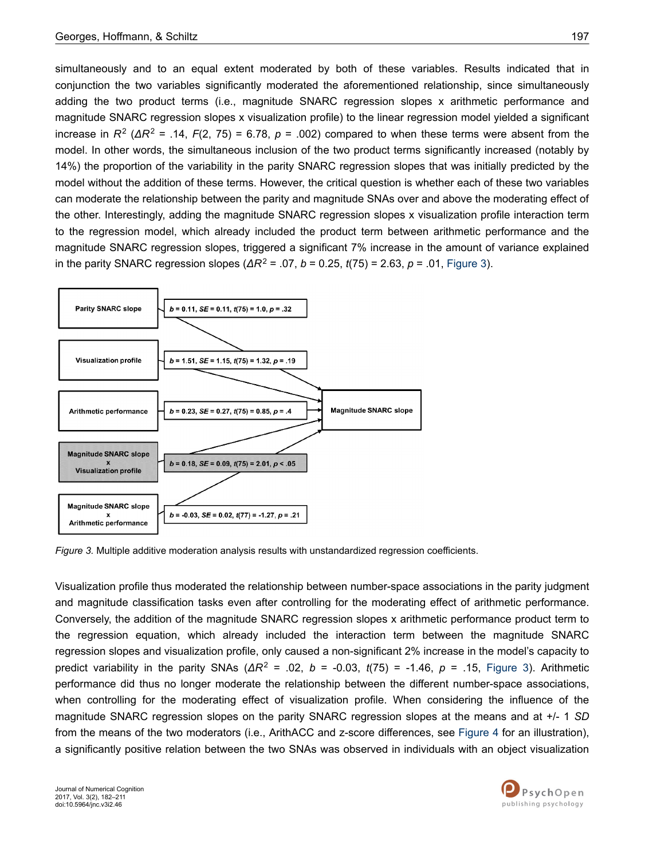simultaneously and to an equal extent moderated by both of these variables. Results indicated that in conjunction the two variables significantly moderated the aforementioned relationship, since simultaneously adding the two product terms (i.e., magnitude SNARC regression slopes x arithmetic performance and magnitude SNARC regression slopes x visualization profile) to the linear regression model yielded a significant increase in  $R^2$  (Δ $R^2$  = .14,  $F(2, 75)$  = 6.78,  $p = .002$ ) compared to when these terms were absent from the model. In other words, the simultaneous inclusion of the two product terms significantly increased (notably by 14%) the proportion of the variability in the parity SNARC regression slopes that was initially predicted by the model without the addition of these terms. However, the critical question is whether each of these two variables can moderate the relationship between the parity and magnitude SNAs over and above the moderating effect of the other. Interestingly, adding the magnitude SNARC regression slopes x visualization profile interaction term to the regression model, which already included the product term between arithmetic performance and the magnitude SNARC regression slopes, triggered a significant 7% increase in the amount of variance explained in the parity SNARC regression slopes (*ΔR*<sup>2</sup> = .07, *b* = 0.25, *t*(75) = 2.63, *p* = .01, Figure 3).



*Figure 3.* Multiple additive moderation analysis results with unstandardized regression coefficients.

Visualization profile thus moderated the relationship between number-space associations in the parity judgment and magnitude classification tasks even after controlling for the moderating effect of arithmetic performance. Conversely, the addition of the magnitude SNARC regression slopes x arithmetic performance product term to the regression equation, which already included the interaction term between the magnitude SNARC regression slopes and visualization profile, only caused a non-significant 2% increase in the model's capacity to predict variability in the parity SNAs (*ΔR*<sup>2</sup> = .02, *b* = -0.03, *t*(75) = -1.46, *p* = .15, Figure 3). Arithmetic performance did thus no longer moderate the relationship between the different number-space associations, when controlling for the moderating effect of visualization profile. When considering the influence of the magnitude SNARC regression slopes on the parity SNARC regression slopes at the means and at +/- 1 *SD* from the means of the two moderators (i.e., ArithACC and z-score differences, see [Figure 4](#page-16-0) for an illustration), a significantly positive relation between the two SNAs was observed in individuals with an object visualization

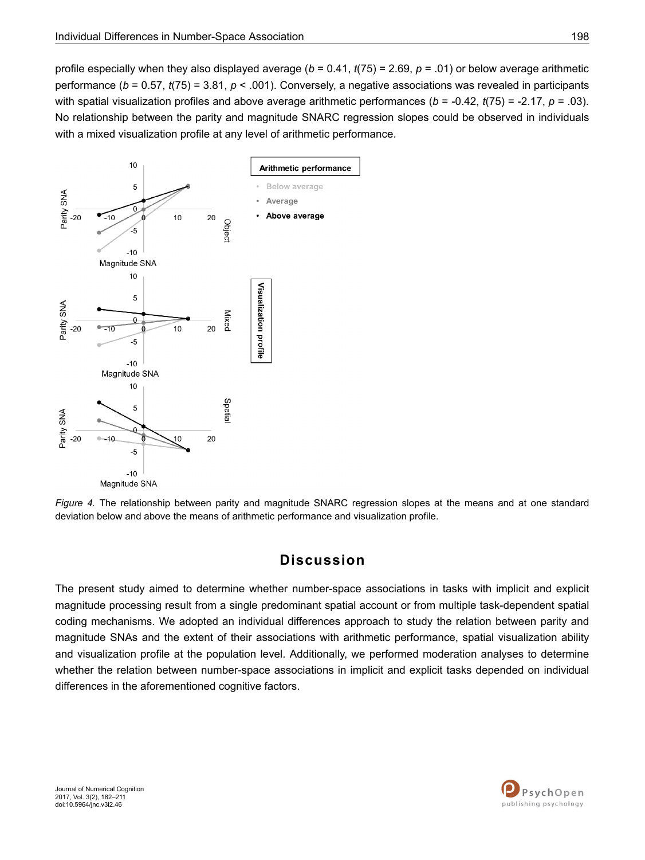<span id="page-16-0"></span>profile especially when they also displayed average (*b* = 0.41, *t*(75) = 2.69, *p* = .01) or below average arithmetic performance (*b* = 0.57, *t*(75) = 3.81, *p* < .001). Conversely, a negative associations was revealed in participants with spatial visualization profiles and above average arithmetic performances ( $b = -0.42$ ,  $t(75) = -2.17$ ,  $p = .03$ ). No relationship between the parity and magnitude SNARC regression slopes could be observed in individuals with a mixed visualization profile at any level of arithmetic performance.



*Figure 4.* The relationship between parity and magnitude SNARC regression slopes at the means and at one standard deviation below and above the means of arithmetic performance and visualization profile.

# **Discussion**

The present study aimed to determine whether number-space associations in tasks with implicit and explicit magnitude processing result from a single predominant spatial account or from multiple task-dependent spatial coding mechanisms. We adopted an individual differences approach to study the relation between parity and magnitude SNAs and the extent of their associations with arithmetic performance, spatial visualization ability and visualization profile at the population level. Additionally, we performed moderation analyses to determine whether the relation between number-space associations in implicit and explicit tasks depended on individual differences in the aforementioned cognitive factors.

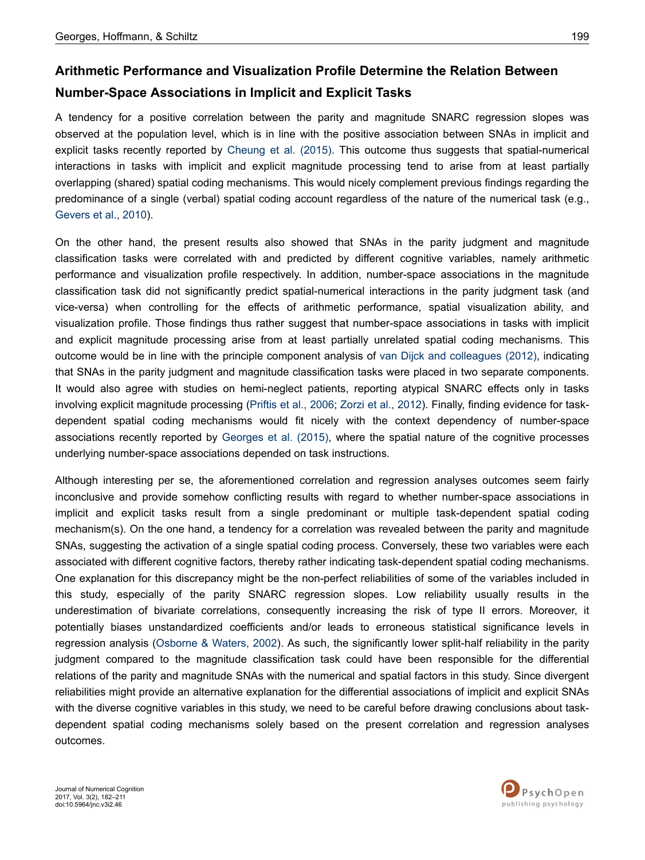# **Arithmetic Performance and Visualization Profile Determine the Relation Between Number-Space Associations in Implicit and Explicit Tasks**

A tendency for a positive correlation between the parity and magnitude SNARC regression slopes was observed at the population level, which is in line with the positive association between SNAs in implicit and explicit tasks recently reported by [Cheung et al. \(2015\)](#page-23-0). This outcome thus suggests that spatial-numerical interactions in tasks with implicit and explicit magnitude processing tend to arise from at least partially overlapping (shared) spatial coding mechanisms. This would nicely complement previous findings regarding the predominance of a single (verbal) spatial coding account regardless of the nature of the numerical task (e.g., [Gevers et al., 2010\)](#page-25-0).

On the other hand, the present results also showed that SNAs in the parity judgment and magnitude classification tasks were correlated with and predicted by different cognitive variables, namely arithmetic performance and visualization profile respectively. In addition, number-space associations in the magnitude classification task did not significantly predict spatial-numerical interactions in the parity judgment task (and vice-versa) when controlling for the effects of arithmetic performance, spatial visualization ability, and visualization profile. Those findings thus rather suggest that number-space associations in tasks with implicit and explicit magnitude processing arise from at least partially unrelated spatial coding mechanisms. This outcome would be in line with the principle component analysis of [van Dijck and colleagues \(2012\),](#page-27-0) indicating that SNAs in the parity judgment and magnitude classification tasks were placed in two separate components. It would also agree with studies on hemi-neglect patients, reporting atypical SNARC effects only in tasks involving explicit magnitude processing ([Priftis et al., 2006;](#page-27-0) [Zorzi et al., 2012](#page-28-0)). Finally, finding evidence for taskdependent spatial coding mechanisms would fit nicely with the context dependency of number-space associations recently reported by [Georges et al. \(2015\)](#page-25-0), where the spatial nature of the cognitive processes underlying number-space associations depended on task instructions.

Although interesting per se, the aforementioned correlation and regression analyses outcomes seem fairly inconclusive and provide somehow conflicting results with regard to whether number-space associations in implicit and explicit tasks result from a single predominant or multiple task-dependent spatial coding mechanism(s). On the one hand, a tendency for a correlation was revealed between the parity and magnitude SNAs, suggesting the activation of a single spatial coding process. Conversely, these two variables were each associated with different cognitive factors, thereby rather indicating task-dependent spatial coding mechanisms. One explanation for this discrepancy might be the non-perfect reliabilities of some of the variables included in this study, especially of the parity SNARC regression slopes. Low reliability usually results in the underestimation of bivariate correlations, consequently increasing the risk of type II errors. Moreover, it potentially biases unstandardized coefficients and/or leads to erroneous statistical significance levels in regression analysis [\(Osborne & Waters, 2002\)](#page-27-0). As such, the significantly lower split-half reliability in the parity judgment compared to the magnitude classification task could have been responsible for the differential relations of the parity and magnitude SNAs with the numerical and spatial factors in this study. Since divergent reliabilities might provide an alternative explanation for the differential associations of implicit and explicit SNAs with the diverse cognitive variables in this study, we need to be careful before drawing conclusions about taskdependent spatial coding mechanisms solely based on the present correlation and regression analyses outcomes.



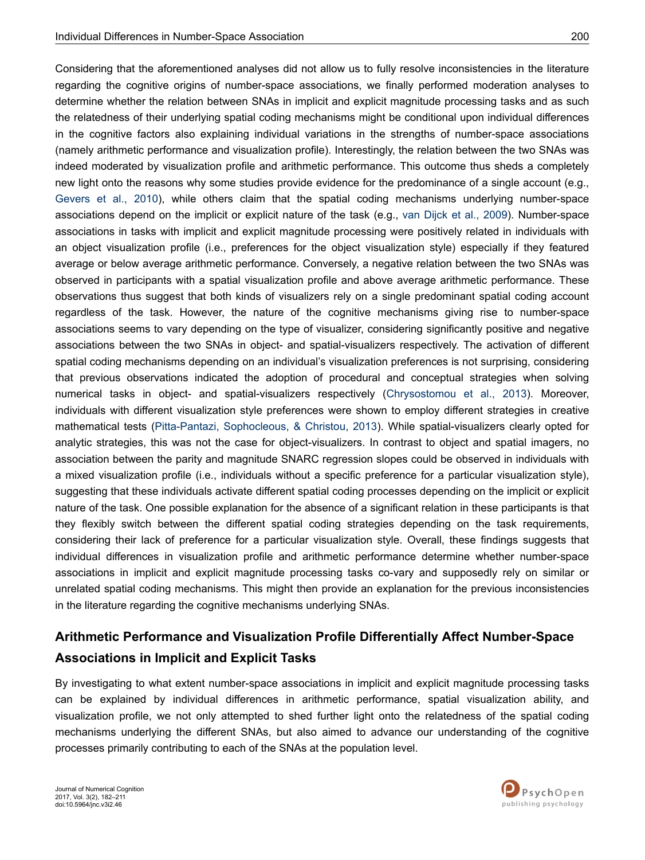Considering that the aforementioned analyses did not allow us to fully resolve inconsistencies in the literature regarding the cognitive origins of number-space associations, we finally performed moderation analyses to determine whether the relation between SNAs in implicit and explicit magnitude processing tasks and as such the relatedness of their underlying spatial coding mechanisms might be conditional upon individual differences in the cognitive factors also explaining individual variations in the strengths of number-space associations (namely arithmetic performance and visualization profile). Interestingly, the relation between the two SNAs was indeed moderated by visualization profile and arithmetic performance. This outcome thus sheds a completely new light onto the reasons why some studies provide evidence for the predominance of a single account (e.g., [Gevers et al., 2010](#page-25-0)), while others claim that the spatial coding mechanisms underlying number-space associations depend on the implicit or explicit nature of the task (e.g., [van Dijck et al., 2009\)](#page-27-0). Number-space associations in tasks with implicit and explicit magnitude processing were positively related in individuals with an object visualization profile (i.e., preferences for the object visualization style) especially if they featured average or below average arithmetic performance. Conversely, a negative relation between the two SNAs was observed in participants with a spatial visualization profile and above average arithmetic performance. These observations thus suggest that both kinds of visualizers rely on a single predominant spatial coding account regardless of the task. However, the nature of the cognitive mechanisms giving rise to number-space associations seems to vary depending on the type of visualizer, considering significantly positive and negative associations between the two SNAs in object- and spatial-visualizers respectively. The activation of different spatial coding mechanisms depending on an individual's visualization preferences is not surprising, considering that previous observations indicated the adoption of procedural and conceptual strategies when solving numerical tasks in object- and spatial-visualizers respectively ([Chrysostomou et al., 2013\)](#page-24-0). Moreover, individuals with different visualization style preferences were shown to employ different strategies in creative mathematical tests [\(Pitta-Pantazi, Sophocleous, & Christou, 2013](#page-27-0)). While spatial-visualizers clearly opted for analytic strategies, this was not the case for object-visualizers. In contrast to object and spatial imagers, no association between the parity and magnitude SNARC regression slopes could be observed in individuals with a mixed visualization profile (i.e., individuals without a specific preference for a particular visualization style), suggesting that these individuals activate different spatial coding processes depending on the implicit or explicit nature of the task. One possible explanation for the absence of a significant relation in these participants is that they flexibly switch between the different spatial coding strategies depending on the task requirements, considering their lack of preference for a particular visualization style. Overall, these findings suggests that individual differences in visualization profile and arithmetic performance determine whether number-space associations in implicit and explicit magnitude processing tasks co-vary and supposedly rely on similar or unrelated spatial coding mechanisms. This might then provide an explanation for the previous inconsistencies in the literature regarding the cognitive mechanisms underlying SNAs.

# **Arithmetic Performance and Visualization Profile Differentially Affect Number-Space Associations in Implicit and Explicit Tasks**

By investigating to what extent number-space associations in implicit and explicit magnitude processing tasks can be explained by individual differences in arithmetic performance, spatial visualization ability, and visualization profile, we not only attempted to shed further light onto the relatedness of the spatial coding mechanisms underlying the different SNAs, but also aimed to advance our understanding of the cognitive processes primarily contributing to each of the SNAs at the population level.

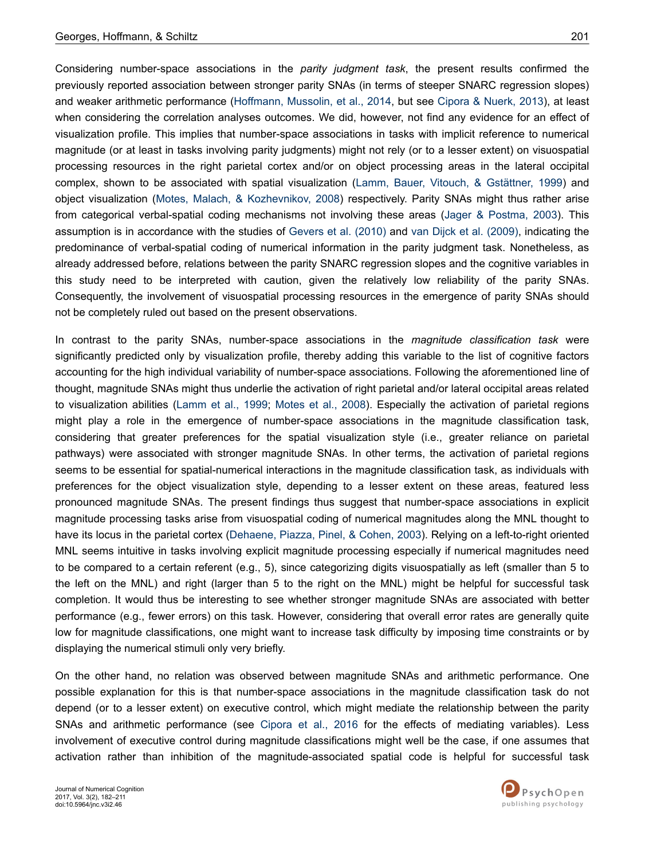Considering number-space associations in the *parity judgment task*, the present results confirmed the previously reported association between stronger parity SNAs (in terms of steeper SNARC regression slopes) and weaker arithmetic performance [\(Hoffmann, Mussolin, et al., 2014](#page-25-0), but see [Cipora & Nuerk, 2013](#page-24-0)), at least when considering the correlation analyses outcomes. We did, however, not find any evidence for an effect of visualization profile. This implies that number-space associations in tasks with implicit reference to numerical magnitude (or at least in tasks involving parity judgments) might not rely (or to a lesser extent) on visuospatial processing resources in the right parietal cortex and/or on object processing areas in the lateral occipital complex, shown to be associated with spatial visualization ([Lamm, Bauer, Vitouch, & Gstättner, 1999\)](#page-26-0) and object visualization [\(Motes, Malach, & Kozhevnikov, 2008\)](#page-26-0) respectively. Parity SNAs might thus rather arise from categorical verbal-spatial coding mechanisms not involving these areas ([Jager & Postma, 2003\)](#page-26-0). This assumption is in accordance with the studies of [Gevers et al. \(2010\)](#page-25-0) and [van Dijck et al. \(2009\),](#page-27-0) indicating the predominance of verbal-spatial coding of numerical information in the parity judgment task. Nonetheless, as already addressed before, relations between the parity SNARC regression slopes and the cognitive variables in this study need to be interpreted with caution, given the relatively low reliability of the parity SNAs. Consequently, the involvement of visuospatial processing resources in the emergence of parity SNAs should not be completely ruled out based on the present observations.

In contrast to the parity SNAs, number-space associations in the *magnitude classification task* were significantly predicted only by visualization profile, thereby adding this variable to the list of cognitive factors accounting for the high individual variability of number-space associations. Following the aforementioned line of thought, magnitude SNAs might thus underlie the activation of right parietal and/or lateral occipital areas related to visualization abilities [\(Lamm et al., 1999](#page-26-0); [Motes et al., 2008\)](#page-26-0). Especially the activation of parietal regions might play a role in the emergence of number-space associations in the magnitude classification task, considering that greater preferences for the spatial visualization style (i.e., greater reliance on parietal pathways) were associated with stronger magnitude SNAs. In other terms, the activation of parietal regions seems to be essential for spatial-numerical interactions in the magnitude classification task, as individuals with preferences for the object visualization style, depending to a lesser extent on these areas, featured less pronounced magnitude SNAs. The present findings thus suggest that number-space associations in explicit magnitude processing tasks arise from visuospatial coding of numerical magnitudes along the MNL thought to have its locus in the parietal cortex [\(Dehaene, Piazza, Pinel, & Cohen, 2003](#page-24-0)). Relying on a left-to-right oriented MNL seems intuitive in tasks involving explicit magnitude processing especially if numerical magnitudes need to be compared to a certain referent (e.g., 5), since categorizing digits visuospatially as left (smaller than 5 to the left on the MNL) and right (larger than 5 to the right on the MNL) might be helpful for successful task completion. It would thus be interesting to see whether stronger magnitude SNAs are associated with better performance (e.g., fewer errors) on this task. However, considering that overall error rates are generally quite low for magnitude classifications, one might want to increase task difficulty by imposing time constraints or by displaying the numerical stimuli only very briefly.

On the other hand, no relation was observed between magnitude SNAs and arithmetic performance. One possible explanation for this is that number-space associations in the magnitude classification task do not depend (or to a lesser extent) on executive control, which might mediate the relationship between the parity SNAs and arithmetic performance (see [Cipora et al., 2016](#page-24-0) for the effects of mediating variables). Less involvement of executive control during magnitude classifications might well be the case, if one assumes that activation rather than inhibition of the magnitude-associated spatial code is helpful for successful task

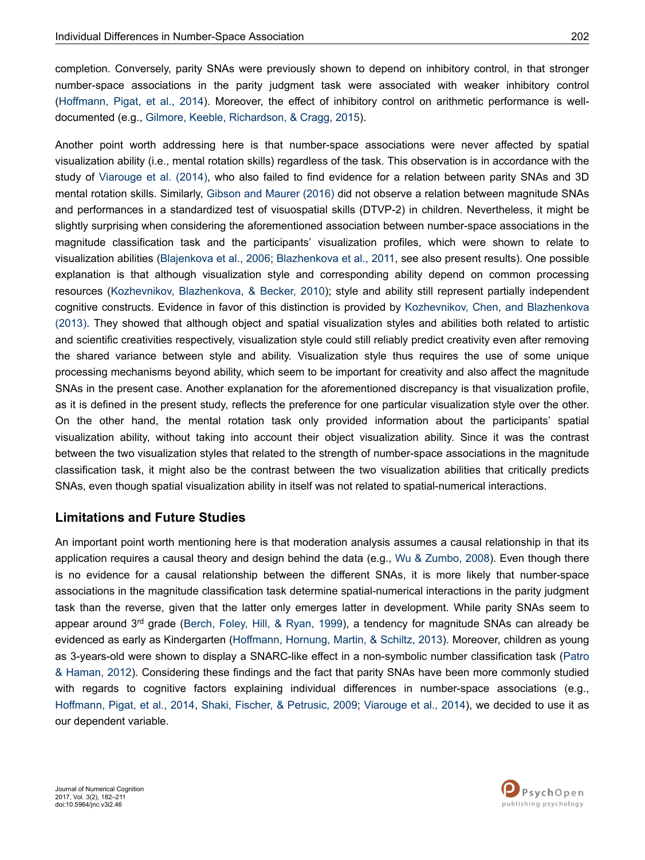completion. Conversely, parity SNAs were previously shown to depend on inhibitory control, in that stronger number-space associations in the parity judgment task were associated with weaker inhibitory control [\(Hoffmann, Pigat, et al., 2014](#page-25-0)). Moreover, the effect of inhibitory control on arithmetic performance is welldocumented (e.g., [Gilmore, Keeble, Richardson, & Cragg, 2015](#page-25-0)).

Another point worth addressing here is that number-space associations were never affected by spatial visualization ability (i.e., mental rotation skills) regardless of the task. This observation is in accordance with the study of [Viarouge et al. \(2014\)](#page-28-0), who also failed to find evidence for a relation between parity SNAs and 3D mental rotation skills. Similarly, [Gibson and Maurer \(2016\)](#page-25-0) did not observe a relation between magnitude SNAs and performances in a standardized test of visuospatial skills (DTVP-2) in children. Nevertheless, it might be slightly surprising when considering the aforementioned association between number-space associations in the magnitude classification task and the participants' visualization profiles, which were shown to relate to visualization abilities [\(Blajenkova et al., 2006;](#page-23-0) [Blazhenkova et al., 2011,](#page-23-0) see also present results). One possible explanation is that although visualization style and corresponding ability depend on common processing resources [\(Kozhevnikov, Blazhenkova, & Becker, 2010](#page-26-0)); style and ability still represent partially independent cognitive constructs. Evidence in favor of this distinction is provided by [Kozhevnikov, Chen, and Blazhenkova](#page-26-0) [\(2013\).](#page-26-0) They showed that although object and spatial visualization styles and abilities both related to artistic and scientific creativities respectively, visualization style could still reliably predict creativity even after removing the shared variance between style and ability. Visualization style thus requires the use of some unique processing mechanisms beyond ability, which seem to be important for creativity and also affect the magnitude SNAs in the present case. Another explanation for the aforementioned discrepancy is that visualization profile, as it is defined in the present study, reflects the preference for one particular visualization style over the other. On the other hand, the mental rotation task only provided information about the participants' spatial visualization ability, without taking into account their object visualization ability. Since it was the contrast between the two visualization styles that related to the strength of number-space associations in the magnitude classification task, it might also be the contrast between the two visualization abilities that critically predicts SNAs, even though spatial visualization ability in itself was not related to spatial-numerical interactions.

### **Limitations and Future Studies**

An important point worth mentioning here is that moderation analysis assumes a causal relationship in that its application requires a causal theory and design behind the data (e.g., [Wu & Zumbo, 2008](#page-28-0)). Even though there is no evidence for a causal relationship between the different SNAs, it is more likely that number-space associations in the magnitude classification task determine spatial-numerical interactions in the parity judgment task than the reverse, given that the latter only emerges latter in development. While parity SNAs seem to appear around  $3<sup>rd</sup>$  grade ([Berch, Foley, Hill, & Ryan, 1999\)](#page-23-0), a tendency for magnitude SNAs can already be evidenced as early as Kindergarten [\(Hoffmann, Hornung, Martin, & Schiltz, 2013\)](#page-25-0). Moreover, children as young as 3-years-old were shown to display a SNARC-like effect in a non-symbolic number classification task [\(Patro](#page-27-0) [& Haman, 2012\)](#page-27-0). Considering these findings and the fact that parity SNAs have been more commonly studied with regards to cognitive factors explaining individual differences in number-space associations (e.g., [Hoffmann, Pigat, et al., 2014,](#page-25-0) [Shaki, Fischer, & Petrusic, 2009](#page-27-0); [Viarouge et al., 2014](#page-28-0)), we decided to use it as our dependent variable.

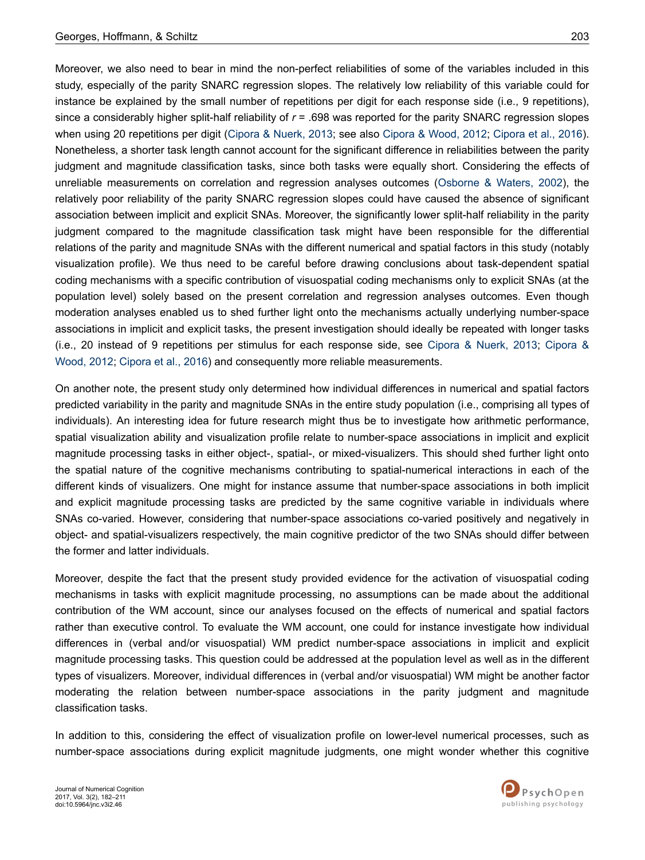Moreover, we also need to bear in mind the non-perfect reliabilities of some of the variables included in this study, especially of the parity SNARC regression slopes. The relatively low reliability of this variable could for instance be explained by the small number of repetitions per digit for each response side (i.e., 9 repetitions), since a considerably higher split-half reliability of *r* = .698 was reported for the parity SNARC regression slopes when using 20 repetitions per digit [\(Cipora & Nuerk, 2013](#page-24-0); see also [Cipora & Wood, 2012;](#page-24-0) [Cipora et al., 2016](#page-24-0)). Nonetheless, a shorter task length cannot account for the significant difference in reliabilities between the parity judgment and magnitude classification tasks, since both tasks were equally short. Considering the effects of unreliable measurements on correlation and regression analyses outcomes ([Osborne & Waters, 2002\)](#page-27-0), the relatively poor reliability of the parity SNARC regression slopes could have caused the absence of significant association between implicit and explicit SNAs. Moreover, the significantly lower split-half reliability in the parity judgment compared to the magnitude classification task might have been responsible for the differential relations of the parity and magnitude SNAs with the different numerical and spatial factors in this study (notably visualization profile). We thus need to be careful before drawing conclusions about task-dependent spatial coding mechanisms with a specific contribution of visuospatial coding mechanisms only to explicit SNAs (at the population level) solely based on the present correlation and regression analyses outcomes. Even though moderation analyses enabled us to shed further light onto the mechanisms actually underlying number-space associations in implicit and explicit tasks, the present investigation should ideally be repeated with longer tasks (i.e., 20 instead of 9 repetitions per stimulus for each response side, see [Cipora & Nuerk, 2013](#page-24-0); [Cipora &](#page-24-0) [Wood, 2012; Cipora et al., 2016](#page-24-0)) and consequently more reliable measurements.

On another note, the present study only determined how individual differences in numerical and spatial factors predicted variability in the parity and magnitude SNAs in the entire study population (i.e., comprising all types of individuals). An interesting idea for future research might thus be to investigate how arithmetic performance, spatial visualization ability and visualization profile relate to number-space associations in implicit and explicit magnitude processing tasks in either object-, spatial-, or mixed-visualizers. This should shed further light onto the spatial nature of the cognitive mechanisms contributing to spatial-numerical interactions in each of the different kinds of visualizers. One might for instance assume that number-space associations in both implicit and explicit magnitude processing tasks are predicted by the same cognitive variable in individuals where SNAs co-varied. However, considering that number-space associations co-varied positively and negatively in object- and spatial-visualizers respectively, the main cognitive predictor of the two SNAs should differ between the former and latter individuals.

Moreover, despite the fact that the present study provided evidence for the activation of visuospatial coding mechanisms in tasks with explicit magnitude processing, no assumptions can be made about the additional contribution of the WM account, since our analyses focused on the effects of numerical and spatial factors rather than executive control. To evaluate the WM account, one could for instance investigate how individual differences in (verbal and/or visuospatial) WM predict number-space associations in implicit and explicit magnitude processing tasks. This question could be addressed at the population level as well as in the different types of visualizers. Moreover, individual differences in (verbal and/or visuospatial) WM might be another factor moderating the relation between number-space associations in the parity judgment and magnitude classification tasks.

In addition to this, considering the effect of visualization profile on lower-level numerical processes, such as number-space associations during explicit magnitude judgments, one might wonder whether this cognitive



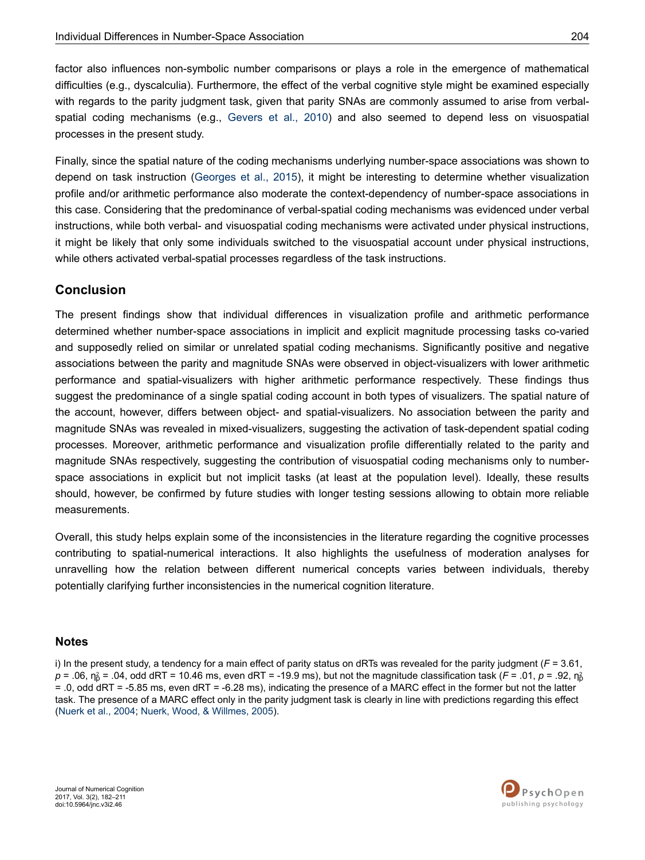<span id="page-22-0"></span>factor also influences non-symbolic number comparisons or plays a role in the emergence of mathematical difficulties (e.g., dyscalculia). Furthermore, the effect of the verbal cognitive style might be examined especially with regards to the parity judgment task, given that parity SNAs are commonly assumed to arise from verbalspatial coding mechanisms (e.g., [Gevers et al., 2010](#page-25-0)) and also seemed to depend less on visuospatial processes in the present study.

Finally, since the spatial nature of the coding mechanisms underlying number-space associations was shown to depend on task instruction ([Georges et al., 2015\)](#page-25-0), it might be interesting to determine whether visualization profile and/or arithmetic performance also moderate the context-dependency of number-space associations in this case. Considering that the predominance of verbal-spatial coding mechanisms was evidenced under verbal instructions, while both verbal- and visuospatial coding mechanisms were activated under physical instructions, it might be likely that only some individuals switched to the visuospatial account under physical instructions, while others activated verbal-spatial processes regardless of the task instructions.

## **Conclusion**

The present findings show that individual differences in visualization profile and arithmetic performance determined whether number-space associations in implicit and explicit magnitude processing tasks co-varied and supposedly relied on similar or unrelated spatial coding mechanisms. Significantly positive and negative associations between the parity and magnitude SNAs were observed in object-visualizers with lower arithmetic performance and spatial-visualizers with higher arithmetic performance respectively. These findings thus suggest the predominance of a single spatial coding account in both types of visualizers. The spatial nature of the account, however, differs between object- and spatial-visualizers. No association between the parity and magnitude SNAs was revealed in mixed-visualizers, suggesting the activation of task-dependent spatial coding processes. Moreover, arithmetic performance and visualization profile differentially related to the parity and magnitude SNAs respectively, suggesting the contribution of visuospatial coding mechanisms only to numberspace associations in explicit but not implicit tasks (at least at the population level). Ideally, these results should, however, be confirmed by future studies with longer testing sessions allowing to obtain more reliable measurements.

Overall, this study helps explain some of the inconsistencies in the literature regarding the cognitive processes contributing to spatial-numerical interactions. It also highlights the usefulness of moderation analyses for unravelling how the relation between different numerical concepts varies between individuals, thereby potentially clarifying further inconsistencies in the numerical cognition literature.

### **Notes**

i) In the present study, a tendency for a main effect of parity status on dRTs was revealed for the parity judgment (*F* = 3.61,  $p$  = .06,  $\eta^2_{\rm p}$  = .04, odd dRT = 10.46 ms, even dRT = -19.9 ms), but not the magnitude classification task (*F* = .01, *p* = .92,  $\eta^2_{\rm p}$ = .0, odd dRT = -5.85 ms, even dRT = -6.28 ms), indicating the presence of a MARC effect in the former but not the latter task. The presence of a MARC effect only in the parity judgment task is clearly in line with predictions regarding this effect [\(Nuerk et al., 2004](#page-26-0); [Nuerk, Wood, & Willmes, 2005](#page-26-0)).

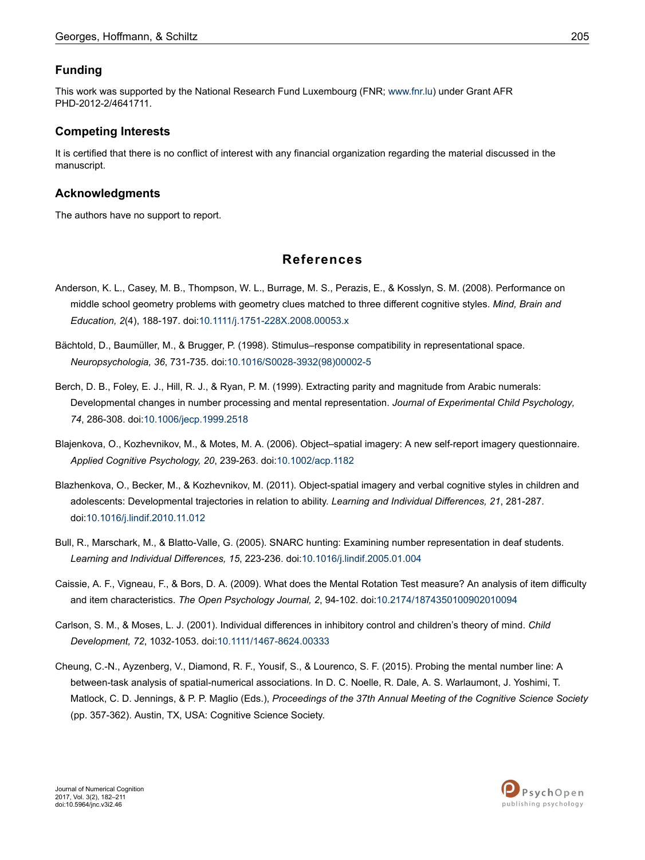### <span id="page-23-0"></span>**Funding**

This work was supported by the National Research Fund Luxembourg (FNR; [www.fnr.lu\)](http://www.fnr.lu) under Grant AFR PHD-2012-2/4641711.

### **Competing Interests**

It is certified that there is no conflict of interest with any financial organization regarding the material discussed in the manuscript.

### **Acknowledgments**

The authors have no support to report.

## **References**

- Anderson, K. L., Casey, M. B., Thompson, W. L., Burrage, M. S., Perazis, E., & Kosslyn, S. M. (2008). Performance on middle school geometry problems with geometry clues matched to three different cognitive styles. *Mind, Brain and Education, 2*(4), 188-197. doi:[10.1111/j.1751-228X.2008.00053.x](http://doi.org/10.1111/j.1751-228X.2008.00053.x)
- Bächtold, D., Baumüller, M., & Brugger, P. (1998). Stimulus–response compatibility in representational space. *Neuropsychologia, 36*, 731-735. doi:10.1016/S0028-3932(98)00002-5
- Berch, D. B., Foley, E. J., Hill, R. J., & Ryan, P. M. (1999). Extracting parity and magnitude from Arabic numerals: Developmental changes in number processing and mental representation. *Journal of Experimental Child Psychology, 74*, 286-308. doi:[10.1006/jecp.1999.2518](http://doi.org/10.1006/jecp.1999.2518)
- Blajenkova, O., Kozhevnikov, M., & Motes, M. A. (2006). Object–spatial imagery: A new self-report imagery questionnaire. *Applied Cognitive Psychology, 20*, 239-263. doi:[10.1002/acp.1182](http://doi.org/10.1002/acp.1182)
- Blazhenkova, O., Becker, M., & Kozhevnikov, M. (2011). Object-spatial imagery and verbal cognitive styles in children and adolescents: Developmental trajectories in relation to ability. *Learning and Individual Differences, 21*, 281-287. doi:[10.1016/j.lindif.2010.11.012](http://doi.org/10.1016/j.lindif.2010.11.012)
- Bull, R., Marschark, M., & Blatto-Valle, G. (2005). SNARC hunting: Examining number representation in deaf students. *Learning and Individual Differences, 15*, 223-236. doi:[10.1016/j.lindif.2005.01.004](http://doi.org/10.1016/j.lindif.2005.01.004)
- Caissie, A. F., Vigneau, F., & Bors, D. A. (2009). What does the Mental Rotation Test measure? An analysis of item difficulty and item characteristics. *The Open Psychology Journal, 2*, 94-102. doi:[10.2174/1874350100902010094](http://doi.org/10.2174/1874350100902010094)
- Carlson, S. M., & Moses, L. J. (2001). Individual differences in inhibitory control and children's theory of mind. *Child Development, 72*, 1032-1053. doi:[10.1111/1467-8624.00333](http://doi.org/10.1111/1467-8624.00333)
- Cheung, C.-N., Ayzenberg, V., Diamond, R. F., Yousif, S., & Lourenco, S. F. (2015). Probing the mental number line: A between-task analysis of spatial-numerical associations. In D. C. Noelle, R. Dale, A. S. Warlaumont, J. Yoshimi, T. Matlock, C. D. Jennings, & P. P. Maglio (Eds.), *Proceedings of the 37th Annual Meeting of the Cognitive Science Society* (pp. 357-362). Austin, TX, USA: Cognitive Science Society.

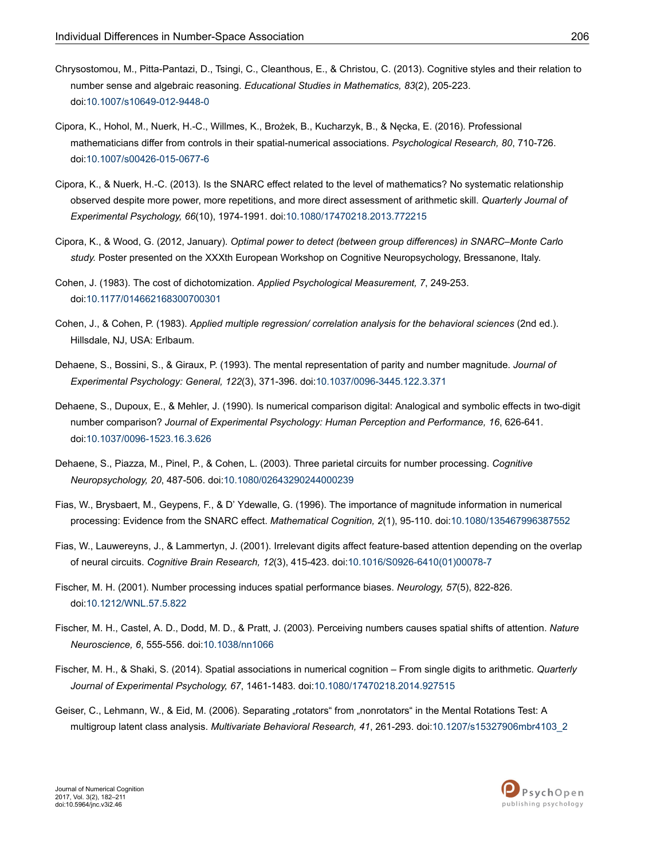- <span id="page-24-0"></span>Chrysostomou, M., Pitta-Pantazi, D., Tsingi, C., Cleanthous, E., & Christou, C. (2013). Cognitive styles and their relation to number sense and algebraic reasoning. *Educational Studies in Mathematics, 83*(2), 205-223. doi:[10.1007/s10649-012-9448-0](http://doi.org/10.1007/s10649-012-9448-0)
- Cipora, K., Hohol, M., Nuerk, H.-C., Willmes, K., Brożek, B., Kucharzyk, B., & Nęcka, E. (2016). Professional mathematicians differ from controls in their spatial-numerical associations. *Psychological Research, 80*, 710-726. doi:[10.1007/s00426-015-0677-6](http://doi.org/10.1007/s00426-015-0677-6)
- Cipora, K., & Nuerk, H.-C. (2013). Is the SNARC effect related to the level of mathematics? No systematic relationship observed despite more power, more repetitions, and more direct assessment of arithmetic skill. *Quarterly Journal of Experimental Psychology, 66*(10), 1974-1991. doi[:10.1080/17470218.2013.772215](http://doi.org/10.1080/17470218.2013.772215)
- Cipora, K., & Wood, G. (2012, January). *Optimal power to detect (between group differences) in SNARC–Monte Carlo study.* Poster presented on the XXXth European Workshop on Cognitive Neuropsychology, Bressanone, Italy.
- Cohen, J. (1983). The cost of dichotomization. *Applied Psychological Measurement, 7*, 249-253. doi:[10.1177/014662168300700301](http://doi.org/10.1177/014662168300700301)
- Cohen, J., & Cohen, P. (1983). *Applied multiple regression/ correlation analysis for the behavioral sciences* (2nd ed.). Hillsdale, NJ, USA: Erlbaum.
- Dehaene, S., Bossini, S., & Giraux, P. (1993). The mental representation of parity and number magnitude. *Journal of Experimental Psychology: General, 122*(3), 371-396. doi:[10.1037/0096-3445.122.3.371](http://doi.org/10.1037/0096-3445.122.3.371)
- Dehaene, S., Dupoux, E., & Mehler, J. (1990). Is numerical comparison digital: Analogical and symbolic effects in two-digit number comparison? *Journal of Experimental Psychology: Human Perception and Performance, 16*, 626-641. doi:[10.1037/0096-1523.16.3.626](http://doi.org/10.1037/0096-1523.16.3.626)
- Dehaene, S., Piazza, M., Pinel, P., & Cohen, L. (2003). Three parietal circuits for number processing. *Cognitive Neuropsychology, 20*, 487-506. doi:[10.1080/02643290244000239](http://doi.org/10.1080/02643290244000239)
- Fias, W., Brysbaert, M., Geypens, F., & D' Ydewalle, G. (1996). The importance of magnitude information in numerical processing: Evidence from the SNARC effect. *Mathematical Cognition, 2*(1), 95-110. doi:[10.1080/135467996387552](http://doi.org/10.1080/135467996387552)
- Fias, W., Lauwereyns, J., & Lammertyn, J. (2001). Irrelevant digits affect feature-based attention depending on the overlap of neural circuits. *Cognitive Brain Research, 12*(3), 415-423. doi:10.1016/S0926-6410(01)00078-7
- Fischer, M. H. (2001). Number processing induces spatial performance biases. *Neurology, 57*(5), 822-826. doi:[10.1212/WNL.57.5.822](http://doi.org/10.1212/WNL.57.5.822)
- Fischer, M. H., Castel, A. D., Dodd, M. D., & Pratt, J. (2003). Perceiving numbers causes spatial shifts of attention. *Nature Neuroscience, 6*, 555-556. doi:[10.1038/nn1066](http://doi.org/10.1038/nn1066)
- Fischer, M. H., & Shaki, S. (2014). Spatial associations in numerical cognition From single digits to arithmetic. *Quarterly Journal of Experimental Psychology, 67*, 1461-1483. doi[:10.1080/17470218.2014.927515](http://doi.org/10.1080/17470218.2014.927515)
- Geiser, C., Lehmann, W., & Eid, M. (2006). Separating "rotators" from "nonrotators" in the Mental Rotations Test: A multigroup latent class analysis. *Multivariate Behavioral Research, 41*, 261-293. doi[:10.1207/s15327906mbr4103\\_2](http://doi.org/10.1207/s15327906mbr4103_2)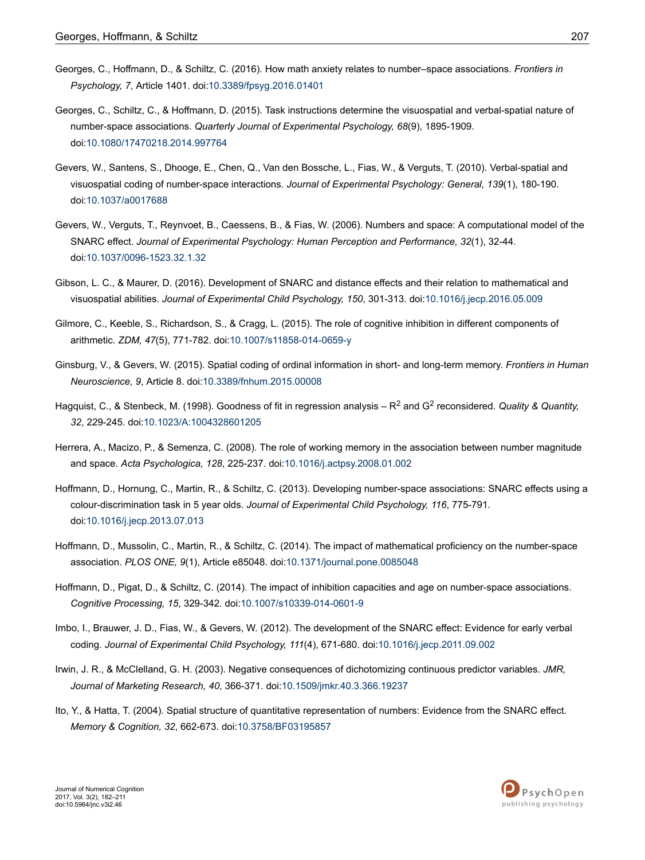- <span id="page-25-0"></span>Georges, C., Hoffmann, D., & Schiltz, C. (2016). How math anxiety relates to number–space associations. *Frontiers in Psychology, 7*, Article 1401. doi:[10.3389/fpsyg.2016.01401](http://doi.org/10.3389/fpsyg.2016.01401)
- Georges, C., Schiltz, C., & Hoffmann, D. (2015). Task instructions determine the visuospatial and verbal-spatial nature of number-space associations. *Quarterly Journal of Experimental Psychology, 68*(9), 1895-1909. doi:[10.1080/17470218.2014.997764](http://doi.org/10.1080/17470218.2014.997764)
- Gevers, W., Santens, S., Dhooge, E., Chen, Q., Van den Bossche, L., Fias, W., & Verguts, T. (2010). Verbal-spatial and visuospatial coding of number-space interactions. *Journal of Experimental Psychology: General, 139*(1), 180-190. doi:[10.1037/a0017688](http://doi.org/10.1037/a0017688)
- Gevers, W., Verguts, T., Reynvoet, B., Caessens, B., & Fias, W. (2006). Numbers and space: A computational model of the SNARC effect. *Journal of Experimental Psychology: Human Perception and Performance, 32*(1), 32-44. doi:[10.1037/0096-1523.32.1.32](http://doi.org/10.1037/0096-1523.32.1.32)
- Gibson, L. C., & Maurer, D. (2016). Development of SNARC and distance effects and their relation to mathematical and visuospatial abilities. *Journal of Experimental Child Psychology, 150*, 301-313. doi:[10.1016/j.jecp.2016.05.009](http://doi.org/10.1016/j.jecp.2016.05.009)
- Gilmore, C., Keeble, S., Richardson, S., & Cragg, L. (2015). The role of cognitive inhibition in different components of arithmetic. *ZDM, 47*(5), 771-782. doi[:10.1007/s11858-014-0659-y](http://doi.org/10.1007/s11858-014-0659-y)
- Ginsburg, V., & Gevers, W. (2015). Spatial coding of ordinal information in short- and long-term memory. *Frontiers in Human Neuroscience, 9*, Article 8. doi[:10.3389/fnhum.2015.00008](http://doi.org/10.3389/fnhum.2015.00008)
- Hagquist, C., & Stenbeck, M. (1998). Goodness of fit in regression analysis R<sup>2</sup> and G<sup>2</sup> reconsidered. Quality & Quantity, *32*, 229-245. doi:[10.1023/A:1004328601205](http://doi.org/10.1023/A:1004328601205)
- Herrera, A., Macizo, P., & Semenza, C. (2008). The role of working memory in the association between number magnitude and space. *Acta Psychologica, 128*, 225-237. doi:[10.1016/j.actpsy.2008.01.002](http://doi.org/10.1016/j.actpsy.2008.01.002)
- Hoffmann, D., Hornung, C., Martin, R., & Schiltz, C. (2013). Developing number-space associations: SNARC effects using a colour-discrimination task in 5 year olds. *Journal of Experimental Child Psychology, 116*, 775-791. doi:[10.1016/j.jecp.2013.07.013](http://doi.org/10.1016/j.jecp.2013.07.013)
- Hoffmann, D., Mussolin, C., Martin, R., & Schiltz, C. (2014). The impact of mathematical proficiency on the number-space association. *PLOS ONE, 9*(1), Article e85048. doi[:10.1371/journal.pone.0085048](http://doi.org/10.1371/journal.pone.0085048)
- Hoffmann, D., Pigat, D., & Schiltz, C. (2014). The impact of inhibition capacities and age on number-space associations. *Cognitive Processing, 15*, 329-342. doi[:10.1007/s10339-014-0601-9](http://doi.org/10.1007/s10339-014-0601-9)
- Imbo, I., Brauwer, J. D., Fias, W., & Gevers, W. (2012). The development of the SNARC effect: Evidence for early verbal coding. *Journal of Experimental Child Psychology, 111*(4), 671-680. doi[:10.1016/j.jecp.2011.09.002](http://doi.org/10.1016/j.jecp.2011.09.002)
- Irwin, J. R., & McClelland, G. H. (2003). Negative consequences of dichotomizing continuous predictor variables. *JMR, Journal of Marketing Research, 40*, 366-371. doi[:10.1509/jmkr.40.3.366.19237](http://doi.org/10.1509/jmkr.40.3.366.19237)
- Ito, Y., & Hatta, T. (2004). Spatial structure of quantitative representation of numbers: Evidence from the SNARC effect. *Memory & Cognition, 32*, 662-673. doi[:10.3758/BF03195857](http://doi.org/10.3758/BF03195857)

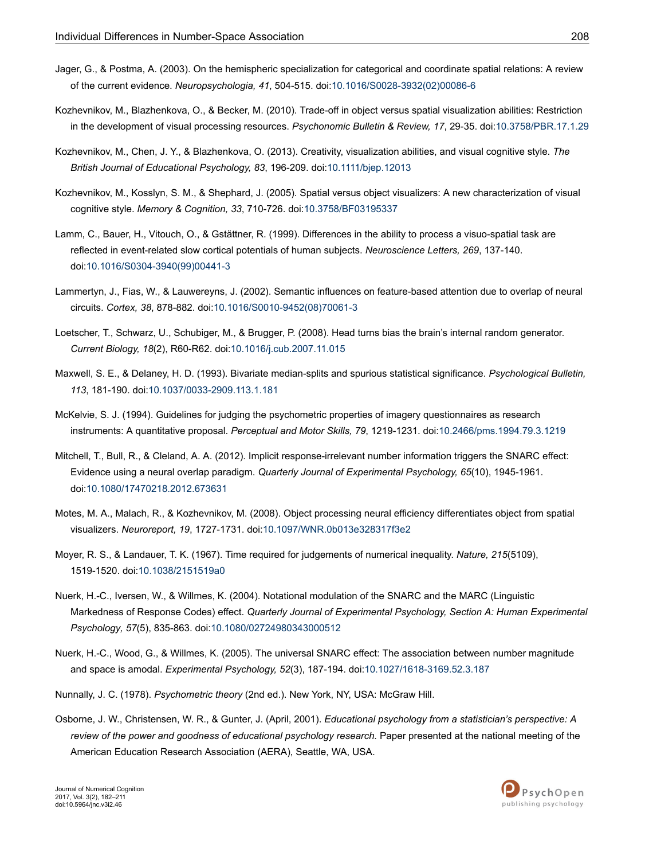- <span id="page-26-0"></span>Jager, G., & Postma, A. (2003). On the hemispheric specialization for categorical and coordinate spatial relations: A review of the current evidence. *Neuropsychologia, 41*, 504-515. doi:10.1016/S0028-3932(02)00086-6
- Kozhevnikov, M., Blazhenkova, O., & Becker, M. (2010). Trade-off in object versus spatial visualization abilities: Restriction in the development of visual processing resources. *Psychonomic Bulletin & Review, 17*, 29-35. doi:[10.3758/PBR.17.1.29](http://doi.org/10.3758/PBR.17.1.29)
- Kozhevnikov, M., Chen, J. Y., & Blazhenkova, O. (2013). Creativity, visualization abilities, and visual cognitive style. *The British Journal of Educational Psychology, 83*, 196-209. doi[:10.1111/bjep.12013](http://doi.org/10.1111/bjep.12013)
- Kozhevnikov, M., Kosslyn, S. M., & Shephard, J. (2005). Spatial versus object visualizers: A new characterization of visual cognitive style. *Memory & Cognition, 33*, 710-726. doi:[10.3758/BF03195337](http://doi.org/10.3758/BF03195337)
- Lamm, C., Bauer, H., Vitouch, O., & Gstättner, R. (1999). Differences in the ability to process a visuo-spatial task are reflected in event-related slow cortical potentials of human subjects. *Neuroscience Letters, 269*, 137-140. doi:10.1016/S0304-3940(99)00441-3
- Lammertyn, J., Fias, W., & Lauwereyns, J. (2002). Semantic influences on feature-based attention due to overlap of neural circuits. *Cortex, 38*, 878-882. doi:10.1016/S0010-9452(08)70061-3
- Loetscher, T., Schwarz, U., Schubiger, M., & Brugger, P. (2008). Head turns bias the brain's internal random generator. *Current Biology, 18*(2), R60-R62. doi[:10.1016/j.cub.2007.11.015](http://doi.org/10.1016/j.cub.2007.11.015)
- Maxwell, S. E., & Delaney, H. D. (1993). Bivariate median-splits and spurious statistical significance. *Psychological Bulletin, 113*, 181-190. doi[:10.1037/0033-2909.113.1.181](http://doi.org/10.1037/0033-2909.113.1.181)
- McKelvie, S. J. (1994). Guidelines for judging the psychometric properties of imagery questionnaires as research instruments: A quantitative proposal. *Perceptual and Motor Skills, 79*, 1219-1231. doi[:10.2466/pms.1994.79.3.1219](http://doi.org/10.2466/pms.1994.79.3.1219)
- Mitchell, T., Bull, R., & Cleland, A. A. (2012). Implicit response-irrelevant number information triggers the SNARC effect: Evidence using a neural overlap paradigm. *Quarterly Journal of Experimental Psychology, 65*(10), 1945-1961. doi:[10.1080/17470218.2012.673631](http://doi.org/10.1080/17470218.2012.673631)
- Motes, M. A., Malach, R., & Kozhevnikov, M. (2008). Object processing neural efficiency differentiates object from spatial visualizers. *Neuroreport, 19*, 1727-1731. doi:[10.1097/WNR.0b013e328317f3e2](http://doi.org/10.1097/WNR.0b013e328317f3e2)
- Moyer, R. S., & Landauer, T. K. (1967). Time required for judgements of numerical inequality. *Nature, 215*(5109), 1519-1520. doi:[10.1038/2151519a0](http://doi.org/10.1038/2151519a0)
- Nuerk, H.-C., Iversen, W., & Willmes, K. (2004). Notational modulation of the SNARC and the MARC (Linguistic Markedness of Response Codes) effect. *Quarterly Journal of Experimental Psychology, Section A: Human Experimental Psychology, 57*(5), 835-863. doi:[10.1080/02724980343000512](http://doi.org/10.1080/02724980343000512)
- Nuerk, H.-C., Wood, G., & Willmes, K. (2005). The universal SNARC effect: The association between number magnitude and space is amodal. *Experimental Psychology, 52*(3), 187-194. doi:[10.1027/1618-3169.52.3.187](http://doi.org/10.1027/1618-3169.52.3.187)
- Nunnally, J. C. (1978). *Psychometric theory* (2nd ed.). New York, NY, USA: McGraw Hill.
- Osborne, J. W., Christensen, W. R., & Gunter, J. (April, 2001). *Educational psychology from a statistician's perspective: A review of the power and goodness of educational psychology research.* Paper presented at the national meeting of the American Education Research Association (AERA), Seattle, WA, USA.

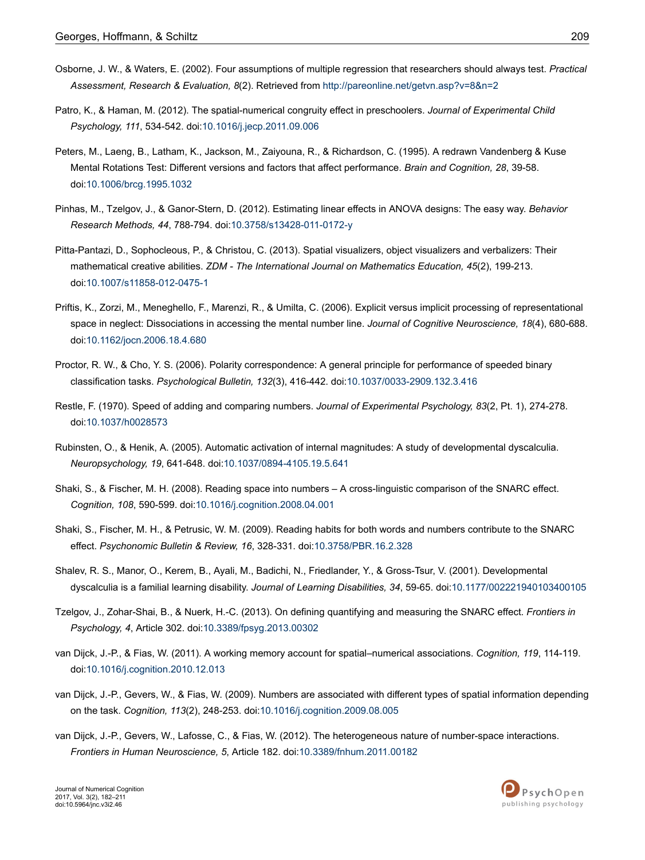- <span id="page-27-0"></span>Osborne, J. W., & Waters, E. (2002). Four assumptions of multiple regression that researchers should always test. *Practical Assessment, Research & Evaluation, 8*(2). Retrieved from<http://pareonline.net/getvn.asp?v=8&n=2>
- Patro, K., & Haman, M. (2012). The spatial-numerical congruity effect in preschoolers. *Journal of Experimental Child Psychology, 111*, 534-542. doi:[10.1016/j.jecp.2011.09.006](http://doi.org/10.1016/j.jecp.2011.09.006)
- Peters, M., Laeng, B., Latham, K., Jackson, M., Zaiyouna, R., & Richardson, C. (1995). A redrawn Vandenberg & Kuse Mental Rotations Test: Different versions and factors that affect performance. *Brain and Cognition, 28*, 39-58. doi:[10.1006/brcg.1995.1032](http://doi.org/10.1006/brcg.1995.1032)
- Pinhas, M., Tzelgov, J., & Ganor-Stern, D. (2012). Estimating linear effects in ANOVA designs: The easy way. *Behavior Research Methods, 44*, 788-794. doi[:10.3758/s13428-011-0172-y](http://doi.org/10.3758/s13428-011-0172-y)
- Pitta-Pantazi, D., Sophocleous, P., & Christou, C. (2013). Spatial visualizers, object visualizers and verbalizers: Their mathematical creative abilities. *ZDM - The International Journal on Mathematics Education, 45*(2), 199-213. doi:[10.1007/s11858-012-0475-1](http://doi.org/10.1007/s11858-012-0475-1)
- Priftis, K., Zorzi, M., Meneghello, F., Marenzi, R., & Umilta, C. (2006). Explicit versus implicit processing of representational space in neglect: Dissociations in accessing the mental number line. *Journal of Cognitive Neuroscience, 18*(4), 680-688. doi:[10.1162/jocn.2006.18.4.680](http://doi.org/10.1162/jocn.2006.18.4.680)
- Proctor, R. W., & Cho, Y. S. (2006). Polarity correspondence: A general principle for performance of speeded binary classification tasks. *Psychological Bulletin, 132*(3), 416-442. doi[:10.1037/0033-2909.132.3.416](http://doi.org/10.1037/0033-2909.132.3.416)
- Restle, F. (1970). Speed of adding and comparing numbers. *Journal of Experimental Psychology, 83*(2, Pt. 1), 274-278. doi:[10.1037/h0028573](http://doi.org/10.1037/h0028573)
- Rubinsten, O., & Henik, A. (2005). Automatic activation of internal magnitudes: A study of developmental dyscalculia. *Neuropsychology, 19*, 641-648. doi:[10.1037/0894-4105.19.5.641](http://doi.org/10.1037/0894-4105.19.5.641)
- Shaki, S., & Fischer, M. H. (2008). Reading space into numbers A cross-linguistic comparison of the SNARC effect. *Cognition, 108*, 590-599. doi:[10.1016/j.cognition.2008.04.001](http://doi.org/10.1016/j.cognition.2008.04.001)
- Shaki, S., Fischer, M. H., & Petrusic, W. M. (2009). Reading habits for both words and numbers contribute to the SNARC effect. *Psychonomic Bulletin & Review, 16*, 328-331. doi[:10.3758/PBR.16.2.328](http://doi.org/10.3758/PBR.16.2.328)
- Shalev, R. S., Manor, O., Kerem, B., Ayali, M., Badichi, N., Friedlander, Y., & Gross-Tsur, V. (2001). Developmental dyscalculia is a familial learning disability. *Journal of Learning Disabilities, 34*, 59-65. doi[:10.1177/002221940103400105](http://doi.org/10.1177/002221940103400105)
- Tzelgov, J., Zohar-Shai, B., & Nuerk, H.-C. (2013). On defining quantifying and measuring the SNARC effect. *Frontiers in Psychology, 4*, Article 302. doi:[10.3389/fpsyg.2013.00302](http://doi.org/10.3389/fpsyg.2013.00302)
- van Dijck, J.-P., & Fias, W. (2011). A working memory account for spatial–numerical associations. *Cognition, 119*, 114-119. doi:[10.1016/j.cognition.2010.12.013](http://doi.org/10.1016/j.cognition.2010.12.013)
- van Dijck, J.-P., Gevers, W., & Fias, W. (2009). Numbers are associated with different types of spatial information depending on the task. *Cognition, 113*(2), 248-253. doi[:10.1016/j.cognition.2009.08.005](http://doi.org/10.1016/j.cognition.2009.08.005)
- van Dijck, J.-P., Gevers, W., Lafosse, C., & Fias, W. (2012). The heterogeneous nature of number-space interactions. *Frontiers in Human Neuroscience, 5*, Article 182. doi[:10.3389/fnhum.2011.00182](http://doi.org/10.3389/fnhum.2011.00182)

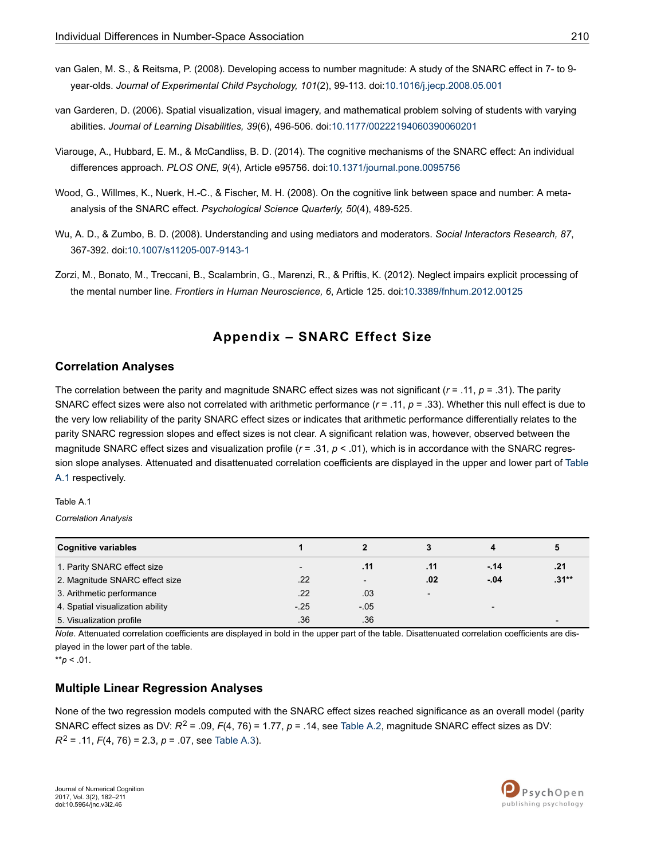- <span id="page-28-0"></span>van Galen, M. S., & Reitsma, P. (2008). Developing access to number magnitude: A study of the SNARC effect in 7- to 9 year-olds. *Journal of Experimental Child Psychology, 101*(2), 99-113. doi:[10.1016/j.jecp.2008.05.001](http://doi.org/10.1016/j.jecp.2008.05.001)
- van Garderen, D. (2006). Spatial visualization, visual imagery, and mathematical problem solving of students with varying abilities. *Journal of Learning Disabilities, 39*(6), 496-506. doi[:10.1177/00222194060390060201](http://doi.org/10.1177/00222194060390060201)
- Viarouge, A., Hubbard, E. M., & McCandliss, B. D. (2014). The cognitive mechanisms of the SNARC effect: An individual differences approach. *PLOS ONE, 9*(4), Article e95756. doi[:10.1371/journal.pone.0095756](http://doi.org/10.1371/journal.pone.0095756)
- Wood, G., Willmes, K., Nuerk, H.-C., & Fischer, M. H. (2008). On the cognitive link between space and number: A metaanalysis of the SNARC effect. *Psychological Science Quarterly, 50*(4), 489-525.
- Wu, A. D., & Zumbo, B. D. (2008). Understanding and using mediators and moderators. *Social Interactors Research, 87*, 367-392. doi:[10.1007/s11205-007-9143-1](http://doi.org/10.1007/s11205-007-9143-1)
- Zorzi, M., Bonato, M., Treccani, B., Scalambrin, G., Marenzi, R., & Priftis, K. (2012). Neglect impairs explicit processing of the mental number line. *Frontiers in Human Neuroscience, 6*, Article 125. doi:[10.3389/fnhum.2012.00125](http://doi.org/10.3389/fnhum.2012.00125)

### **Appendix – SNARC Effect Size**

### **Correlation Analyses**

The correlation between the parity and magnitude SNARC effect sizes was not significant (*r* = .11, *p* = .31). The parity SNARC effect sizes were also not correlated with arithmetic performance (*r* = .11, *p* = .33). Whether this null effect is due to the very low reliability of the parity SNARC effect sizes or indicates that arithmetic performance differentially relates to the parity SNARC regression slopes and effect sizes is not clear. A significant relation was, however, observed between the magnitude SNARC effect sizes and visualization profile ( $r = .31$ ,  $p < .01$ ), which is in accordance with the SNARC regression slope analyses. Attenuated and disattenuated correlation coefficients are displayed in the upper and lower part of Table A.1 respectively.

Table A.1

*Correlation Analysis*

| <b>Cognitive variables</b>       |                          |                          |                          |                          |                          |
|----------------------------------|--------------------------|--------------------------|--------------------------|--------------------------|--------------------------|
| 1. Parity SNARC effect size      | $\overline{\phantom{0}}$ | .11                      | .11                      | $-14$                    | .21                      |
| 2. Magnitude SNARC effect size   | .22                      | $\overline{\phantom{0}}$ | .02                      | $-.04$                   | $.31**$                  |
| 3. Arithmetic performance        | .22                      | .03                      | $\overline{\phantom{0}}$ |                          |                          |
| 4. Spatial visualization ability | $-25$                    | $-05$                    |                          | $\overline{\phantom{0}}$ |                          |
| 5. Visualization profile         | .36                      | .36                      |                          |                          | $\overline{\phantom{0}}$ |

*Note*. Attenuated correlation coefficients are displayed in bold in the upper part of the table. Disattenuated correlation coefficients are displayed in the lower part of the table.

 $*$ *r* $p$  < .01.

### **Multiple Linear Regression Analyses**

None of the two regression models computed with the SNARC effect sizes reached significance as an overall model (parity SNARC effect sizes as DV:  $R^2$  = .09,  $F(4, 76)$  = 1.77,  $p = .14$ , see [Table A.2](#page-29-0), magnitude SNARC effect sizes as DV: *R*<sup>2</sup> = .11, *F*(4, 76) = 2.3, *p* = .07, see [Table A.3](#page-29-0)).